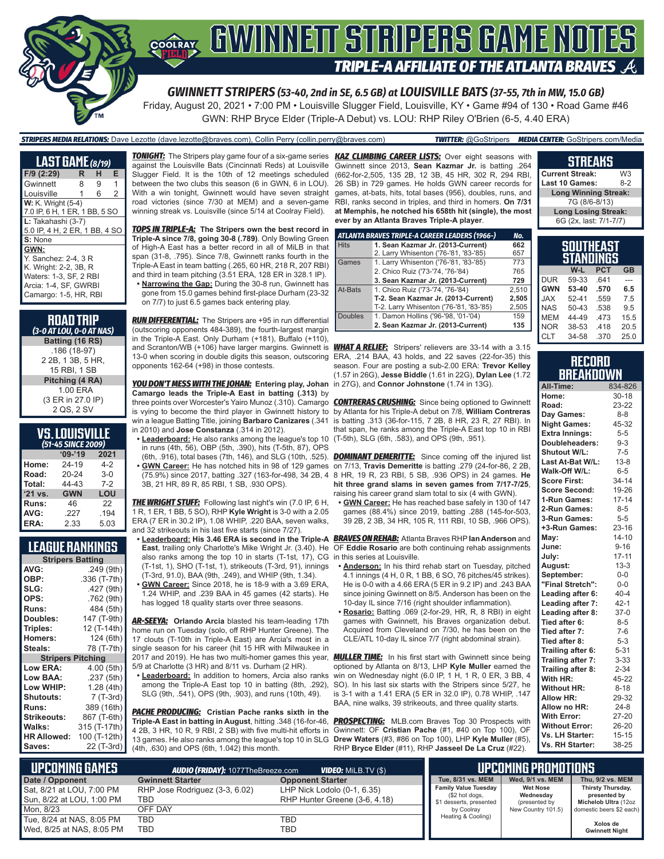

*GWINNETT STRIPERS (53-40, 2nd in SE, 6.5 GB) at LOUISVILLE BATS (37-55, 7th in MW, 15.0 GB)*

Friday, August 20, 2021 • 7:00 PM • Louisville Slugger Field, Louisville, KY • Game #94 of 130 • Road Game #46 GWN: RHP Bryce Elder (Triple-A Debut) vs. LOU: RHP Riley O'Brien (6-5, 4.40 ERA)

| <b>STRIPERS MEDIA RELATIONS:</b> Dave Lezotte (dave.lezotte@braves.com), Collin Perry (collin.perry@braves.com) | <b>TWITTER:</b> @GoStripers <b>MEDIA CENTER:</b> GoStripers.com/Media |
|-----------------------------------------------------------------------------------------------------------------|-----------------------------------------------------------------------|
|                                                                                                                 |                                                                       |

| <b>LAST GAME</b> (8/19)       |    |   |   |  |
|-------------------------------|----|---|---|--|
| F/9 (2:29)                    | R. | н | Е |  |
| Gwinnett                      | 8  | 9 | 1 |  |
| Louisville                    | 1  | 6 | 2 |  |
| <b>W:</b> K. Wright (5-4)     |    |   |   |  |
| 7.0 IP, 6 H, 1 ER, 1 BB, 5 SO |    |   |   |  |
| L: Takahashi (3-7)            |    |   |   |  |
| 5.0 IP, 4 H, 2 ER, 1 BB, 4 SO |    |   |   |  |
| S: None                       |    |   |   |  |
| GWN:                          |    |   |   |  |
| Y. Sanchez: 2-4, 3 R          |    |   |   |  |
| K. Wright: 2-2, 3B, R         |    |   |   |  |
| Waters: 1-3, SF, 2 RBI        |    |   |   |  |
| Arcia: 1-4, SF, GWRBI         |    |   |   |  |
| Camargo: 1-5, HR, RBI         |    |   |   |  |
|                               |    |   |   |  |

| <b>ROAD TRIP</b><br>(3-0 AT LOU, 0-0 AT NAS) |
|----------------------------------------------|
| Batting (16 RS)                              |
| .186 (18-97)                                 |
| 2 2B, 1 3B, 5 HR,                            |
| 15 RBI. 1 SB                                 |
| Pitching (4 RA)                              |
| 1.00 ERA                                     |
| (3 ER in 27.0 IP)                            |
| 2 QS, 2 SV                                   |
|                                              |

| VS.LOUISVILLE      |
|--------------------|
| (51-45 SINCE 2009) |

|         | $09 - 19$  | 2021    |  |  |
|---------|------------|---------|--|--|
| Home:   | 24-19      | 4-2     |  |  |
| Road:   | 20-24      | $3-0$   |  |  |
| Total:  | 44-43      | $7 - 2$ |  |  |
| '21 vs. | <b>GWN</b> | LOU     |  |  |
| Runs:   | 46         | 22      |  |  |
| AVG:    | .227       | .194    |  |  |
| ERA:    | 2.33       | 5.03    |  |  |

#### **LEAGUE RANKINGS**

| <b>Stripers Batting</b>  |              |  |  |
|--------------------------|--------------|--|--|
| AVG:                     | .249 (9th)   |  |  |
| OBP:                     | .336 (T-7th) |  |  |
| SLG:                     | .427 (9th)   |  |  |
| OPS:                     | .762 (9th)   |  |  |
| <b>Runs:</b>             | 484 (5th)    |  |  |
| Doubles:                 | 147 (T-9th)  |  |  |
| Triples:                 | 12 (T-14th)  |  |  |
| <b>Homers:</b>           | 124 (6th)    |  |  |
| Steals:                  | 78 (T-7th)   |  |  |
| <b>Stripers Pitching</b> |              |  |  |
| <b>Low ERA:</b>          | 4.00 (5th)   |  |  |
| Low BAA:                 | .237 (5th)   |  |  |
| Low WHIP:                | 1.28 (4th)   |  |  |
| Shutouts:                | 7 (T-3rd)    |  |  |
| <b>Runs:</b>             | 389 (16th)   |  |  |
| <b>Strikeouts:</b>       | 867 (T-6th)  |  |  |
| Walks:                   | 315 (T-17th) |  |  |
| <b>HR Allowed:</b>       | 100 (T-12th) |  |  |
| Saves:                   | 22 (T-3rd)   |  |  |
|                          |              |  |  |

against the Louisville Bats (Cincinnati Reds) at Louisville Slugger Field. It is the 10th of 12 meetings scheduled between the two clubs this season (6 in GWN, 6 in LOU). With a win tonight. Gwinnett would have seven straight road victories (since 7/30 at MEM) and a seven-game winning streak vs. Louisville (since 5/14 at Coolray Field).

*TOPS IN TRIPLE-A:* **The Stripers own the best record in Triple-A since 7/8, going 30-8 (.789)**. Only Bowling Green of High-A East has a better record in all of MiLB in that span (31-8, .795). Since 7/8, Gwinnett ranks fourth in the Triple-A East in team batting (.265, 60 HR, 218 R, 207 RBI) and third in team pitching (3.51 ERA, 128 ER in 328.1 IP). **• Narrowing the Gap:** During the 30-8 run, Gwinnett has

gone from 15.0 games behind first-place Durham (23-32 on 7/7) to just 6.5 games back entering play.

*RUN DIFFERENTIAL:* The Stripers are +95 in run differential (outscoring opponents 484-389), the fourth-largest margin in the Triple-A East. Only Durham (+181), Buffalo (+110), and Scranton/WB (+106) have larger margins. Gwinnett is *WHAT A RELIEF:* Stripers' relievers are 33-14 with a 3.15 13-0 when scoring in double digits this season, outscoring ERA, .214 BAA, 43 holds, and 22 saves (22-for-35) this opponents 162-64 (+98) in those contests.

*YOU DON'T MESS WITH THE JOHAN:* **Entering play, Johan**  in 27G), and **Connor Johnstone** (1.74 in 13G). **Camargo leads the Triple-A East in batting (.313)** by in 2010) and **Jose Constanza** (.314 in 2012).

**• Leaderboard:** He also ranks among the league's top 10 (T-5th), SLG (6th, .583), and OPS (9th, .951). in runs (4th, 56), OBP (5th, .390), hits (T-5th, 87), OPS **• GWN Career:** He has notched hits in 98 of 129 games 3B, 21 HR, 89 R, 85 RBI, 1 SB, .930 OPS).

*THE WRIGHT STUFF:* Following last night's win (7.0 IP, 6 H, 1 R, 1 ER, 1 BB, 5 SO), RHP **Kyle Wright** is 3-0 with a 2.05 ERA (7 ER in 30.2 IP), 1.08 WHIP, .220 BAA, seven walks, and 32 strikeouts in his last five starts (since 7/27).

- also ranks among the top 10 in starts (T-1st, 17), CG in this series at Louisville. (T-1st, 1), SHO (T-1st, 1), strikeouts (T-3rd, 91), innings (T-3rd, 91.0), BAA (9th, .249), and WHIP (9th, 1.34).
- **• GWN Career:** Since 2018, he is 18-9 with a 3.69 ERA, 1.24 WHIP, and .239 BAA in 45 games (42 starts). He has logged 18 quality starts over three seasons.

*AR-SEEYA:* **Orlando Arcia** blasted his team-leading 17th home run on Tuesday (solo, off RHP Hunter Greene). The 17 clouts (T-10th in Triple-A East) are Arcia's most in a single season for his career (hit 15 HR with Milwaukee in 2017 and 2019). He has two multi-homer games this year, *MULLER TIME:* In his first start with Gwinnett since being 5/9 at Charlotte (3 HR) and 8/11 vs. Durham (2 HR).

**• Leaderboard:** In addition to homers, Arcia also ranks among the Triple-A East top 10 in batting (8th, .292), SLG (9th, .541), OPS (9th, .903), and runs (10th, 49).

*PACHE PRODUCING:* **Cristian Pache ranks sixth in the Triple-A East in batting in August**, hitting .348 (16-for-46, *PROSPECTING:* MLB.com Braves Top 30 Prospects with 4 2B, 3 HR, 10 R, 9 RBI, 2 SB) with five multi-hit efforts in Gwinnett: OF **Cristian Pache** (#1, #40 on Top 100), OF 13 games. He also ranks among the league's top 10 in SLG **Drew Waters** (#3, #86 on Top 100), LHP **Kyle Muller** (#5), (4th, .630) and OPS (6th, 1.042) this month.

*TONIGHT:* The Stripers play game four of a six-game series *KAZ CLIMBING CAREER LISTS:* Over eight seasons with Gwinnett since 2013, **Sean Kazmar Jr.** is batting .264 (662-for-2,505, 135 2B, 12 3B, 45 HR, 302 R, 294 RBI, 26 SB) in 729 games. He holds GWN career records for games, at-bats, hits, total bases (956), doubles, runs, and RBI, ranks second in triples, and third in homers. **On 7/31 at Memphis, he notched his 658th hit (single), the most ever by an Atlanta Braves Triple-A player**.

|                | ATLANTA BRAVES TRIPLE-A CAREER LEADERS (1966-) | No.   |
|----------------|------------------------------------------------|-------|
| <b>Hits</b>    | 1. Sean Kazmar Jr. (2013-Current)              | 662   |
|                | 2. Larry Whisenton ('76-'81, '83-'85)          | 657   |
| Games          | 1. Larry Whisenton ('76-'81, '83-'85)          | 773   |
|                | 2. Chico Ruiz ('73-'74, '76-'84)               | 765   |
|                | 3. Sean Kazmar Jr. (2013-Current)              | 729   |
| At-Bats        | 1. Chico Ruiz ('73-'74, '76-'84)               | 2.510 |
|                | T-2. Sean Kazmar Jr. (2013-Current)            | 2.505 |
|                | T-2. Larry Whisenton ('76-'81, '83-'85)        | 2,505 |
| <b>Doubles</b> | 1. Damon Hollins ('96-'98, '01-'04)            | 159   |
|                | 2. Sean Kazmar Jr. (2013-Current)              | 135   |

season. Four are posting a sub-2.00 ERA: **Trevor Kelley** (1.57 in 26G), **Jesse Biddle** (1.61 in 22G), **Dylan Lee** (1.72

three points over Worcester's Yairo Munoz (.310). Camargo *CONTRERAS CRUSHING:* Since being optioned to Gwinnett is vying to become the third player in Gwinnett history to by Atlanta for his Triple-A debut on 7/8, **William Contreras** win a league Batting Title, joining **Barbaro Canizares** (.341  $\,$  is batting .313 (36-for-115, 7 2B, 8 HR, 23 R, 27 RBI). In that span, he ranks among the Triple-A East top 10 in RBI

(6th, .916), total bases (7th, 146), and SLG (10th, .525). *DOMINANT DEMERITTE:* Since coming off the injured list (75.9%) since 2017, batting .327 (163-for-498, 34 2B, 4 8 HR, 19 R, 23 RBI, 5 SB, .936 OPS) in 24 games. **He**  on 7/13, **Travis Demeritte** is batting .279 (24-for-86, 2 2B, **hit three grand slams in seven games from 7/17-7/25**, raising his career grand slam total to six (4 with GWN).

**• GWN Career:** He has reached base safely in 130 of 147 games (88.4%) since 2019, batting .288 (145-for-503, 39 2B, 2 3B, 34 HR, 105 R, 111 RBI, 10 SB, .966 OPS).

**• Leaderboard: His 3.46 ERA is second in the Triple-A**  *BRAVES ON REHAB:* Atlanta Braves RHP **Ian Anderson** and **East**, trailing only Charlotte's Mike Wright Jr. (3.40). He OF **Eddie Rosario** are both continuing rehab assignments

- **• Anderson:** In his third rehab start on Tuesday, pitched 4.1 innings (4 H, 0 R, 1 BB, 6 SO, 76 pitches/45 strikes). He is 0-0 with a 4.66 ERA (5 ER in 9.2 IP) and .243 BAA since joining Gwinnett on 8/5. Anderson has been on the 10-day IL since 7/16 (right shoulder inflammation).
- **• Rosario:** Batting .069 (2-for-29, HR, R, 8 RBI) in eight games with Gwinnett, his Braves organization debut. Acquired from Cleveland on 7/30, he has been on the CLE/ATL 10-day IL since 7/7 (right abdominal strain).

optioned by Atlanta on 8/13, LHP **Kyle Muller** earned the win on Wednesday night (6.0 IP, 1 H, 1 R, 0 ER, 3 BB, 4 SO). In his last six starts with the Stripers since 5/27, he is 3-1 with a 1.41 ERA (5 ER in 32.0 IP), 0.78 WHIP, .147 BAA, nine walks, 39 strikeouts, and three quality starts.

RHP **Bryce Elder** (#11), RHP **Jasseel De La Cruz** (#22).

#### **Current Streak:** W3<br>**Last 10 Games:** 8-2 **Last 10 Games: Long Winning Streak:** 7G (8/6-8/13) **Long Losing Streak:** 6G (2x, last: 7/1-7/7)

**STREAKS**

| <b>SOUTHEAST</b><br>STANDINGS |           |            |           |  |
|-------------------------------|-----------|------------|-----------|--|
|                               | W-L       | <b>PCT</b> | <b>GB</b> |  |
| <b>DUR</b>                    | 59-33     | .641       |           |  |
| <b>GWN</b>                    | 53-40     | .570       | 6.5       |  |
| <b>JAX</b>                    | $52 - 41$ | .559       | 7.5       |  |
| <b>NAS</b>                    | 50-43     | .538       | 9.5       |  |
| <b>MEM</b>                    | 44-49     | .473       | 15.5      |  |
| <b>NOR</b>                    | 38-53     | .418       | 20.5      |  |
| <b>CLT</b>                    | 34-58     | .370       | 25.0      |  |

| <b>RECORD</b> |                  |  |
|---------------|------------------|--|
|               | <b>BREAKDOWN</b> |  |

| All-Time:             | 834-826   |
|-----------------------|-----------|
| Home:                 | $30 - 18$ |
| Road:                 | 23-22     |
| Day Games:            | $8 - 8$   |
| <b>Night Games:</b>   | 45-32     |
| <b>Extra Innings:</b> | $5-5$     |
| Doubleheaders:        | $9 - 3$   |
| <b>Shutout W/L:</b>   | $7 - 5$   |
| Last At-Bat W/L:      | $13 - 8$  |
| Walk-Off W/L:         | $6 - 5$   |
| <b>Score First:</b>   | $34 - 14$ |
| <b>Score Second:</b>  | 19-26     |
| 1-Run Games:          | $17 - 14$ |
| 2-Run Games:          | $8 - 5$   |
| 3-Run Games:          | $5 - 5$   |
| +3-Run Games:         | $23 - 16$ |
| May:                  | $14 - 10$ |
| June:                 | $9 - 16$  |
| July:                 | $17 - 11$ |
| August:               | $13 - 3$  |
| September:            | $0-0$     |
| "Final Stretch":      | $0 - 0$   |
| Leading after 6:      | $40 - 4$  |
| Leading after 7:      | $42 - 1$  |
| Leading after 8:      | $37-0$    |
| Tied after 6:         | $8 - 5$   |
| Tied after 7:         | $7-6$     |
| Tied after 8:         | $5 - 3$   |
| Trailing after 6:     | $5 - 31$  |
| Trailing after 7:     | $3 - 33$  |
| Trailing after 8:     | $2 - 34$  |
| With HR:              | 45-22     |
| <b>Without HR:</b>    | $8 - 18$  |
| <b>Allow HR:</b>      | 29-32     |
| Allow no HR:          | $24 - 8$  |
| <b>With Error:</b>    | 27-20     |
| <b>Without Error:</b> | 26-20     |
| Vs. LH Starter:       | $15 - 15$ |
| Vs. RH Starter:       | 38-25     |

| <b>UPCOMING GAMES</b>                                  | <b>AUDIO (FRIDAY):</b> 1077TheBreeze.com | <b>VIDEO:</b> MILB.TV (\$)                                   |                                                                          | <b>UPCOMING PROMOTIONS</b>                    |                                                           |
|--------------------------------------------------------|------------------------------------------|--------------------------------------------------------------|--------------------------------------------------------------------------|-----------------------------------------------|-----------------------------------------------------------|
| Date / Opponent                                        | <b>Gwinnett Starter</b>                  | <b>Opponent Starter</b>                                      | Tue, 8/31 vs. MEM                                                        | Wed, 9/1 vs. MEM                              | Thu, 9/2 vs. MEM                                          |
| Sat, 8/21 at LOU, 7:00 PM<br>Sun, 8/22 at LOU, 1:00 PM | RHP Jose Rodriguez (3-3, 6.02)<br>TBD    | LHP Nick Lodolo (0-1, 6.35)<br>RHP Hunter Greene (3-6, 4.18) | <b>Family Value Tuesday</b><br>(\$2 hot dogs,<br>\$1 desserts, presented | <b>Wet Nose</b><br>Wednesday<br>(presented by | Thirsty Thursday,<br>presented by<br>Michelob Ultra (12oz |
| Mon. 8/23                                              | OFF DAY                                  |                                                              | by Coolray                                                               | New Country 101.5)                            | domestic beers \$2 each)                                  |
| Tue, 8/24 at NAS, 8:05 PM                              | TBD                                      | TBD                                                          | Heating & Cooling)                                                       |                                               | Xolos de                                                  |
| Wed, 8/25 at NAS, 8:05 PM                              | TBD                                      | TBD                                                          |                                                                          |                                               | <b>Gwinnett Night</b>                                     |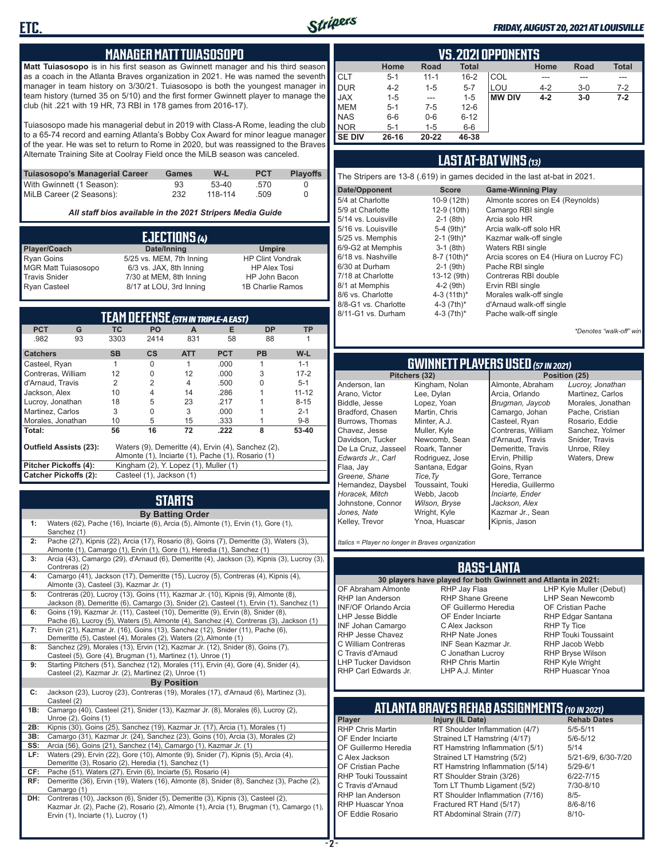

#### *FRIDAY, AUGUST 20, 2021 AT LOUISVILLE*

#### **MANAGER MATT TUIASOSOPO**

**Matt Tuiasosopo** is in his first season as Gwinnett manager and his third season as a coach in the Atlanta Braves organization in 2021. He was named the seventh manager in team history on 3/30/21. Tuiasosopo is both the youngest manager in team history (turned 35 on 5/10) and the first former Gwinnett player to manage the club (hit .221 with 19 HR, 73 RBI in 178 games from 2016-17).

Tuiasosopo made his managerial debut in 2019 with Class-A Rome, leading the club to a 65-74 record and earning Atlanta's Bobby Cox Award for minor league manager of the year. He was set to return to Rome in 2020, but was reassigned to the Braves Alternate Training Site at Coolray Field once the MiLB season was canceled.

| Tuiasosopo's Managerial Career | Games | W-L     | <b>PCT</b> | <b>Plavoffs</b> |
|--------------------------------|-------|---------|------------|-----------------|
| With Gwinnett (1 Season):      | 93    | $53-40$ | .570       |                 |
| MiLB Career (2 Seasons):       | 232   | 118-114 | .509       |                 |

*All staff bios available in the 2021 Stripers Media Guide*

|                            | EJECTIONS (4)            |                         |
|----------------------------|--------------------------|-------------------------|
| Player/Coach               | Date/Inning              | <b>Umpire</b>           |
| <b>Ryan Goins</b>          | 5/25 vs. MEM, 7th Inning | <b>HP Clint Vondrak</b> |
| <b>MGR Matt Tuiasosopo</b> | 6/3 vs. JAX, 8th Inning  | <b>HP Alex Tosi</b>     |
| <b>Travis Snider</b>       | 7/30 at MEM, 8th Inning  | HP John Bacon           |
| <b>Ryan Casteel</b>        | 8/17 at LOU, 3rd Inning  | 1B Charlie Ramos        |

| <b>TEAM DEFENSE (5TH IN TRIPLE-A EAST)</b> |                    |           |                                       |            |                                                    |           |           |  |  |  |  |  |
|--------------------------------------------|--------------------|-----------|---------------------------------------|------------|----------------------------------------------------|-----------|-----------|--|--|--|--|--|
| <b>PCT</b>                                 | G                  | <b>TC</b> | <b>PO</b>                             | A          | Е                                                  | <b>DP</b> | TP        |  |  |  |  |  |
| .982                                       | 93                 | 3303      | 2414                                  | 831        | 58                                                 | 88        |           |  |  |  |  |  |
| <b>Catchers</b>                            |                    | <b>SB</b> | <b>CS</b>                             | <b>ATT</b> | <b>PCT</b>                                         | <b>PB</b> | W-L       |  |  |  |  |  |
| Casteel, Ryan                              |                    | 1         | 0                                     | 1          | .000                                               | 1         | $1 - 1$   |  |  |  |  |  |
|                                            | Contreras, William |           | 0                                     | 12         | .000                                               | 3         | $17 - 2$  |  |  |  |  |  |
| d'Arnaud, Travis                           |                    | 2         | $\overline{2}$                        | 4          | .500                                               | U         | $5 - 1$   |  |  |  |  |  |
|                                            | Jackson, Alex      |           | 4                                     | 14         | .286                                               |           | $11 - 12$ |  |  |  |  |  |
| Lucroy, Jonathan                           |                    | 18        | 5                                     | 23         | .217                                               |           | $8 - 15$  |  |  |  |  |  |
| Martinez, Carlos                           |                    | 3         | $\Omega$                              | 3          | .000                                               |           | $2 - 1$   |  |  |  |  |  |
| Morales, Jonathan                          |                    | 10        | 5                                     | 15         | .333                                               |           | $9 - 8$   |  |  |  |  |  |
| Total:                                     |                    | 56        | 16                                    | 72         | .222                                               | 8         | 53-40     |  |  |  |  |  |
| <b>Outfield Assists (23):</b>              |                    |           |                                       |            | Waters (9), Demeritte (4), Ervin (4), Sanchez (2), |           |           |  |  |  |  |  |
|                                            |                    |           |                                       |            | Almonte (1), Inciarte (1), Pache (1), Rosario (1)  |           |           |  |  |  |  |  |
| Pitcher Pickoffs (4):                      |                    |           | Kingham (2), Y. Lopez (1), Muller (1) |            |                                                    |           |           |  |  |  |  |  |
| <b>Catcher Pickoffs (2):</b>               |                    |           | Casteel (1), Jackson (1)              |            |                                                    |           |           |  |  |  |  |  |

# **STARTS**

|     | <b>By Batting Order</b>                                                                                                                                                                                              |
|-----|----------------------------------------------------------------------------------------------------------------------------------------------------------------------------------------------------------------------|
| 1:  | Waters (62), Pache (16), Inciarte (6), Arcia (5), Almonte (1), Ervin (1), Gore (1),<br>Sanchez (1)                                                                                                                   |
| 2:  | Pache (27), Kipnis (22), Arcia (17), Rosario (8), Goins (7), Demeritte (3), Waters (3),<br>Almonte (1), Camargo (1), Ervin (1), Gore (1), Heredia (1), Sanchez (1)                                                   |
| 3:  | Arcia (43), Camargo (29), d'Arnaud (6), Demeritte (4), Jackson (3), Kipnis (3), Lucroy (3),<br>Contreras (2)                                                                                                         |
| 4:  | Camargo (41), Jackson (17), Demeritte (15), Lucroy (5), Contreras (4), Kipnis (4),<br>Almonte (3), Casteel (3), Kazmar Jr. (1)                                                                                       |
| 5:  | Contreras (20), Lucroy (13), Goins (11), Kazmar Jr. (10), Kipnis (9), Almonte (8),<br>Jackson (8), Demeritte (6), Camargo (3), Snider (2), Casteel (1), Ervin (1), Sanchez (1)                                       |
| 6:  | Goins (19), Kazmar Jr. (11), Casteel (10), Demeritte (9), Ervin (8), Snider (8),<br>Pache (6), Lucroy (5), Waters (5), Almonte (4), Sanchez (4), Contreras (3), Jackson (1)                                          |
| 7:  | Ervin (21), Kazmar Jr. (16), Goins (13), Sanchez (12), Snider (11), Pache (6),<br>Demeritte (5), Casteel (4), Morales (2), Waters (2), Almonte (1)                                                                   |
| 8:  | Sanchez (29), Morales (13), Ervin (12), Kazmar Jr. (12), Snider (8), Goins (7),<br>Casteel (5), Gore (4), Brugman (1), Martinez (1), Unroe (1)                                                                       |
| 9:  | Starting Pitchers (51), Sanchez (12), Morales (11), Ervin (4), Gore (4), Snider (4),<br>Casteel (2), Kazmar Jr. (2), Martinez (2), Unroe (1)                                                                         |
|     | <b>By Position</b>                                                                                                                                                                                                   |
| C:  | Jackson (23), Lucroy (23), Contreras (19), Morales (17), d'Arnaud (6), Martinez (3),<br>Casteel (2)                                                                                                                  |
| 1B: | Camargo (40), Casteel (21), Snider (13), Kazmar Jr. (8), Morales (6), Lucroy (2),<br>Unroe (2), Goins (1)                                                                                                            |
| 2B: | Kipnis (30), Goins (25), Sanchez (19), Kazmar Jr. (17), Arcia (1), Morales (1)                                                                                                                                       |
| 3B: | Camargo (31), Kazmar Jr. (24), Sanchez (23), Goins (10), Arcia (3), Morales (2)                                                                                                                                      |
| SS: | Arcia (56), Goins (21), Sanchez (14), Camargo (1), Kazmar Jr. (1)                                                                                                                                                    |
| LF: | Waters (29), Ervin (22), Gore (10), Almonte (9), Snider (7), Kipnis (5), Arcia (4),<br>Demeritte (3), Rosario (2), Heredia (1), Sanchez (1)                                                                          |
| CF: | Pache (51), Waters (27), Ervin (6), Inciarte (5), Rosario (4)                                                                                                                                                        |
| RF: | Demeritte (36), Ervin (19), Waters (16), Almonte (8), Snider (8), Sanchez (3), Pache (2),<br>Camargo (1)                                                                                                             |
| DH: | Contreras (10), Jackson (6), Snider (5), Demeritte (3), Kipnis (3), Casteel (2),<br>Kazmar Jr. (2), Pache (2), Rosario (2), Almonte (1), Arcia (1), Brugman (1), Camargo (1),<br>Ervin (1), Inciarte (1), Lucroy (1) |

|               | <b>VS. 2021 OPPONENTS</b> |          |              |               |         |       |              |  |  |  |  |  |  |  |
|---------------|---------------------------|----------|--------------|---------------|---------|-------|--------------|--|--|--|--|--|--|--|
|               | Home                      | Road     | <b>Total</b> |               | Home    | Road  | <b>Total</b> |  |  |  |  |  |  |  |
| <b>CLT</b>    | $5 - 1$                   | $11 - 1$ | $16 - 2$     | COL           | ---     | ---   | ---          |  |  |  |  |  |  |  |
| <b>DUR</b>    | $4 - 2$                   | $1 - 5$  | $5 - 7$      | LOU           | $4 - 2$ | $3-0$ | $7 - 2$      |  |  |  |  |  |  |  |
| <b>JAX</b>    | $1 - 5$                   | ---      | $1 - 5$      | <b>MW DIV</b> | $4 - 2$ | $3-0$ | $7 - 2$      |  |  |  |  |  |  |  |
| <b>MEM</b>    | $5 - 1$                   | $7-5$    | $12 - 6$     |               |         |       |              |  |  |  |  |  |  |  |
| <b>NAS</b>    | $6-6$                     | $0-6$    | $6 - 12$     |               |         |       |              |  |  |  |  |  |  |  |
| <b>NOR</b>    | $5 - 1$                   | $1 - 5$  | $6-6$        |               |         |       |              |  |  |  |  |  |  |  |
| <b>SE DIV</b> | $26 - 16$                 | 20-22    | 46-38        |               |         |       |              |  |  |  |  |  |  |  |

#### **LAST AT-BAT WINS** *(13)*

| The Stripers are 13-8 (.619) in games decided in the last at-bat in 2021. |                          |                                         |  |  |  |  |  |  |  |
|---------------------------------------------------------------------------|--------------------------|-----------------------------------------|--|--|--|--|--|--|--|
| Date/Opponent                                                             | <b>Score</b>             | <b>Game-Winning Play</b>                |  |  |  |  |  |  |  |
| 5/4 at Charlotte                                                          | 10-9 (12th)              | Almonte scores on E4 (Reynolds)         |  |  |  |  |  |  |  |
| 5/9 at Charlotte                                                          | 12-9 (10th)              | Camargo RBI single                      |  |  |  |  |  |  |  |
| 5/14 vs. Louisville                                                       | $2-1$ (8th)              | Arcia solo HR                           |  |  |  |  |  |  |  |
| 5/16 vs. Louisville                                                       | 5-4 $(9th)*$             | Arcia walk-off solo HR                  |  |  |  |  |  |  |  |
| 5/25 vs. Memphis                                                          | $2-1$ (9th) <sup>*</sup> | Kazmar walk-off single                  |  |  |  |  |  |  |  |
| 6/9-G2 at Memphis                                                         | $3-1$ (8th)              | Waters RBI single                       |  |  |  |  |  |  |  |
| 6/18 vs. Nashville                                                        | $8-7$ (10th)*            | Arcia scores on E4 (Hiura on Lucroy FC) |  |  |  |  |  |  |  |
| 6/30 at Durham                                                            | $2-1$ (9th)              | Pache RBI single                        |  |  |  |  |  |  |  |
| 7/18 at Charlotte                                                         | 13-12 (9th)              | Contreras RBI double                    |  |  |  |  |  |  |  |
| 8/1 at Memphis                                                            | $4-2$ (9th)              | Ervin RBI single                        |  |  |  |  |  |  |  |
| 8/6 vs. Charlotte                                                         | 4-3 $(11th)^*$           | Morales walk-off single                 |  |  |  |  |  |  |  |
| 8/8-G1 vs. Charlotte                                                      | 4-3 $(7th)^*$            | d'Arnaud walk-off single                |  |  |  |  |  |  |  |
| 8/11-G1 vs. Durham                                                        | 4-3 $(7th)^*$            | Pache walk-off single                   |  |  |  |  |  |  |  |
|                                                                           |                          |                                         |  |  |  |  |  |  |  |

*\*Denotes "walk-off" win*

# **GWINNETT PLAYERS USED** *(57 IN 2021)*

**Pitchers (32)** Anderson, Ian Arano, Victor Biddle, Jesse Bradford, Chasen Burrows, Thomas Chavez, Jesse Davidson, Tucker De La Cruz, Jasseel *Edwards Jr., Carl* Flaa, Jay *Greene, Shane*  Hernandez, Daysbel *Horacek, Mitch* Johnstone, Connor *Jones, Nate* Kelley, Trevor *Tice,Ty*

Kingham, Nolan Lee, Dylan Lopez, Yoan Martin, Chris Minter, A.J. Muller, Kyle Newcomb, Sean Roark, Tanner Rodriguez, Jose Santana, Edgar Toussaint, Touki Webb, Jacob *Wilson, Bryse* Wright, Kyle Ynoa, Huascar Kipnis, Jason

Almonte, Abraham Arcia, Orlando *Brugman, Jaycob* Camargo, Johan Casteel, Ryan Contreras, William d'Arnaud, Travis Demeritte, Travis Ervin, Phillip Goins, Ryan Gore, Terrance Heredia, Guillermo *Inciarte, Ender Jackson, Alex* Kazmar Jr., Sean

*Lucroy, Jonathan* Martinez, Carlos Morales, Jonathan Pache, Cristian Rosario, Eddie Sanchez, Yolmer Snider, Travis Unroe, Riley Waters, Drew

*Italics = Player no longer in Braves organization*

#### **BASS-LANTA**

OF Abraham Almonte RHP Ian Anderson INF/OF Orlando Arcia LHP Jesse Biddle INF Johan Camargo RHP Jesse Chavez C William Contreras C Travis d'Arnaud LHP Tucker Davidson RHP Carl Edwards Jr.

**30 players have played for both Gwinnett and Atlanta in 2021:** RHP Jay Flaa RHP Shane Greene OF Guillermo Heredia OF Ender Inciarte C Alex Jackson RHP Nate Jones INF Sean Kazmar Jr. C Jonathan Lucroy RHP Chris Martin LHP A.J. Minter

LHP Kyle Muller (Debut) LHP Sean Newcomb OF Cristian Pache RHP Edgar Santana RHP Ty Tice RHP Touki Toussaint RHP Jacob Webb RHP Bryse Wilson RHP Kyle Wright RHP Huascar Ynoa

# **ATLANTA BRAVES REHAB ASSIGNMENTS** *(10 IN 2021)*

**Player Injury (IL Date)** 

RHP Chris Martin RT Shoulder Inflammation (4/7) 5/5-5/11<br>OF Ender Inciarte Strained LT Hamstring (4/17) 5/6-5/12 OF Ender Inciarte Strained LT Hamstring (4/17)<br>OF Guillermo Heredia RT Hamstring Inflammation (5) RT Hamstring Inflammation  $(5/1)$  5/14 C Alex Jackson Strained LT Hamstring (5/2) 5/21-6/9, 6/30-7/20 OF Cristian Pache RT Hamstring Inflammation (5/14) 5/29-6/1<br>RHP Touki Toussaint RT Shoulder Strain (3/26) 6/22-7/15 RHP Touki Toussaint RT Shoulder Strain (3/26) 6/22-7/15<br>C. Travis d'Arnaud C. Torn LT Thumb Ligament (5/2) 6/10-8/10 Torn LT Thumb Ligament (5/2) RHP Ian Anderson RT Shoulder Inflammation (7/16) 8/5-<br>RHP Huascar Ynoa Fractured RT Hand (5/17) 8/6-8/16 RHP Huascar Ynoa Fractured RT Hand (5/17)<br>OF Eddie Rosario RT Abdominal Strain (7/7) RT Abdominal Strain (7/7) 8/10-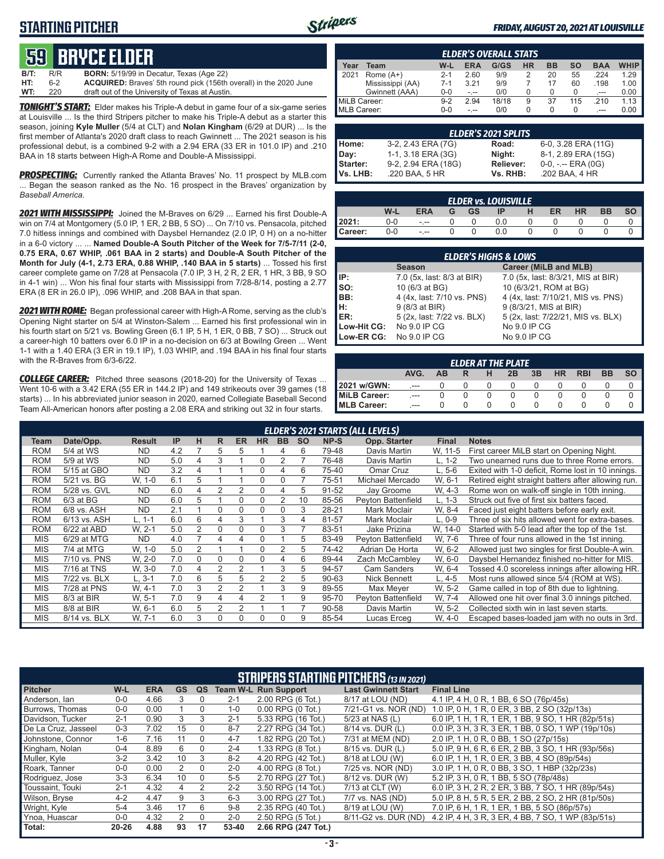### **STARTING PITCHER**



#### *FRIDAY, AUGUST 20, 2021 AT LOUISVILLE*

# **59****bryce elder**

**B/T:** R/R **BORN:** 5/19/99 in Decatur, Texas (Age 22) **ACQUIRED:** Braves' 5th round pick (156th overall) in the 2020 June **WT:** 220 draft out of the University of Texas at Austin.

*TONIGHT'S START:* Elder makes his Triple-A debut in game four of a six-game series at Louisville ... Is the third Stripers pitcher to make his Triple-A debut as a starter this season, joining **Kyle Muller** (5/4 at CLT) and **Nolan Kingham** (6/29 at DUR) ... Is the first member of Atlanta's 2020 draft class to reach Gwinnett ... The 2021 season is his professional debut, is a combined 9-2 with a 2.94 ERA (33 ER in 101.0 IP) and .210 BAA in 18 starts between High-A Rome and Double-A Mississippi.

**PROSPECTING:** Currently ranked the Atlanta Braves' No. 11 prospect by MLB.com ... Began the season ranked as the No. 16 prospect in the Braves' organization by *Baseball America.*

*2021 WITH MISSISSIPPI:* Joined the M-Braves on 6/29 ... Earned his first Double-A win on 7/4 at Montgomery (5.0 IP, 1 ER, 2 BB, 5 SO) ... On 7/10 vs. Pensacola, pitched 7.0 hitless innings and combined with Daysbel Hernandez (2.0 IP, 0 H) on a no-hitter in a 6-0 victory ... ... **Named Double-A South Pitcher of the Week for 7/5-7/11 (2-0, 0.75 ERA, 0.67 WHIP, .061 BAA in 2 starts) and Double-A South Pitcher of the Month for July (4-1, 2.73 ERA, 0.88 WHIP, .140 BAA in 5 starts)** ... Tossed his first career complete game on 7/28 at Pensacola (7.0 IP, 3 H, 2 R, 2 ER, 1 HR, 3 BB, 9 SO in 4-1 win) ... Won his final four starts with Mississippi from 7/28-8/14, posting a 2.77 ERA (8 ER in 26.0 IP), .096 WHIP, and .208 BAA in that span.

*2021 WITH ROME:* Began professional career with High-A Rome, serving as the club's Opening Night starter on 5/4 at Winston-Salem ... Earned his first professional win in his fourth start on 5/21 vs. Bowling Green (6.1 IP, 5 H, 1 ER, 0 BB, 7 SO) ... Struck out a career-high 10 batters over 6.0 IP in a no-decision on 6/3 at Bowilng Green ... Went 1-1 with a 1.40 ERA (3 ER in 19.1 IP), 1.03 WHIP, and .194 BAA in his final four starts with the R-Braves from 6/3-6/22.

*COLLEGE CAREER:* Pitched three seasons (2018-20) for the University of Texas ... Went 10-6 with a 3.42 ERA (55 ER in 144.2 IP) and 149 strikeouts over 39 games (18 starts) ... In his abbreviated junior season in 2020, earned Collegiate Baseball Second Team All-American honors after posting a 2.08 ERA and striking out 32 in four starts.

|              | <b>ELDER'S OVERALL STATS</b> |         |       |       |           |           |     |            |             |  |  |  |  |
|--------------|------------------------------|---------|-------|-------|-----------|-----------|-----|------------|-------------|--|--|--|--|
| Year         | Team                         | W-L     | ERA   | G/GS  | <b>HR</b> | <b>BB</b> | SΟ  | <b>BAA</b> | <b>WHIP</b> |  |  |  |  |
| 2021         | Rome $(A+)$                  | $2 - 1$ | 2.60  | 9/9   |           | 20        | 55  | .224       | 1.29        |  |  |  |  |
|              | Mississippi (AA)             | $7-1$   | 3 2 1 | 9/9   |           | 17        | 60  | .198       | 1.00        |  |  |  |  |
|              | Gwinnett (AAA)               | 0-0     | -.--  | 0/0   |           | 0         |     | $-$        | 0.00        |  |  |  |  |
| MiLB Career: |                              | $9-2$   | 2.94  | 18/18 | 9         | 37        | 115 | 210        | 1.13        |  |  |  |  |
| MLB Career:  |                              | 0-0     |       | 0/0   |           | 0         |     | ---        | 0.00        |  |  |  |  |

| <b>ELDER'S 2021 SPLITS</b> |                     |                  |                       |  |  |  |  |  |  |  |  |
|----------------------------|---------------------|------------------|-----------------------|--|--|--|--|--|--|--|--|
| Home:                      | 3-2, 2.43 ERA (7G)  | Road:            | 6-0, 3.28 ERA (11G)   |  |  |  |  |  |  |  |  |
| Day:                       | 1-1, 3.18 ERA (3G)  | Night:           | 8-1, 2.89 ERA (15G)   |  |  |  |  |  |  |  |  |
| <b>Starter:</b>            | 9-2, 2.94 ERA (18G) | <b>Reliever:</b> | $0-0, - -$ ERA $(0G)$ |  |  |  |  |  |  |  |  |
| Vs. LHB:                   | .220 BAA, 5 HR      | Vs. RHB:         | .202 BAA, 4 HR        |  |  |  |  |  |  |  |  |

| <b>ELDER vs. LOUISVILLE</b> |       |            |  |           |     |  |    |           |           |    |  |  |
|-----------------------------|-------|------------|--|-----------|-----|--|----|-----------|-----------|----|--|--|
|                             | W-L   | <b>ERA</b> |  | <b>GS</b> | IP  |  | ER | <b>HR</b> | <b>BB</b> | SΟ |  |  |
| 2021:                       | $0-0$ | $ -$       |  |           | 0.0 |  |    |           |           |    |  |  |
| Career:                     | 0-0   | $- - -$    |  |           | 0.0 |  |    |           |           |    |  |  |

| <b>ELDER'S HIGHS &amp; LOWS</b>                             |                            |                                    |  |  |  |  |  |  |  |  |
|-------------------------------------------------------------|----------------------------|------------------------------------|--|--|--|--|--|--|--|--|
|                                                             | <b>Season</b>              | Career (MiLB and MLB)              |  |  |  |  |  |  |  |  |
| IP:                                                         | 7.0 (5x, last: 8/3 at BIR) | 7.0 (5x, last: 8/3/21, MIS at BIR) |  |  |  |  |  |  |  |  |
| $\vert$ so:                                                 | 10 (6/3 at BG)             | 10 (6/3/21, ROM at BG)             |  |  |  |  |  |  |  |  |
| BB:                                                         | 4 (4x, last: 7/10 vs. PNS) | 4 (4x, last: 7/10/21, MIS vs. PNS) |  |  |  |  |  |  |  |  |
| $\left  \begin{matrix} H & H \\ E & H \end{matrix} \right $ | 9 (8/3 at BIR)             | 9 (8/3/21, MIS at BIR)             |  |  |  |  |  |  |  |  |
|                                                             | 5 (2x, last: 7/22 vs. BLX) | 5 (2x, last: 7/22/21, MIS vs. BLX) |  |  |  |  |  |  |  |  |
| Low-Hit CG:                                                 | No 9.0 IP CG               | No 9.0 IP CG                       |  |  |  |  |  |  |  |  |
| Low-ER CG:                                                  | No 9.0 IP CG               | No 9.0 IP CG                       |  |  |  |  |  |  |  |  |

| <b>ELDER AT THE PLATE</b>                                    |     |  |  |  |  |  |  |  |  |  |  |  |
|--------------------------------------------------------------|-----|--|--|--|--|--|--|--|--|--|--|--|
| AVG.<br>3B<br><b>RBI</b><br><b>BB</b><br>HR<br>AВ<br>2B<br>н |     |  |  |  |  |  |  |  |  |  |  |  |
| 2021 w/GWN:                                                  | --- |  |  |  |  |  |  |  |  |  |  |  |
| <b>MiLB Career:</b>                                          | --- |  |  |  |  |  |  |  |  |  |  |  |
| MLB Career:                                                  | --- |  |  |  |  |  |  |  |  |  |  |  |

|            | <b>ELDER'S 2021 STARTS (ALL LEVELS)</b> |               |     |          |   |           |           |           |           |       |                     |          |                                                    |
|------------|-----------------------------------------|---------------|-----|----------|---|-----------|-----------|-----------|-----------|-------|---------------------|----------|----------------------------------------------------|
| Team       | Date/Opp.                               | <b>Result</b> | IP  | н        | R | <b>ER</b> | <b>HR</b> | <b>BB</b> | <b>SO</b> | NP-S  | <b>Opp. Starter</b> | Final    | <b>Notes</b>                                       |
| <b>ROM</b> | 5/4 at WS                               | <b>ND</b>     | 4.2 |          | 5 | 5         |           | 4         | 6         | 79-48 | Davis Martin        | W. 11-5  | First career MiLB start on Opening Night.          |
| <b>ROM</b> | 5/9 at WS                               | <b>ND</b>     | 5.0 | 4        | 3 |           |           |           |           | 76-48 | Davis Martin        | $L, 1-2$ | Two unearned runs due to three Rome errors.        |
| <b>ROM</b> | 5/15 at GBO                             | <b>ND</b>     | 3.2 | 4        |   |           |           | 4         | 6         | 75-40 | Omar Cruz           | L. 5-6   | Exited with 1-0 deficit, Rome lost in 10 innings.  |
| <b>ROM</b> | 5/21 vs. BG                             | W, 1-0        | 6.1 | 5        |   |           | $\Omega$  |           |           | 75-51 | Michael Mercado     | W, 6-1   | Retired eight straight batters after allowing run. |
| <b>ROM</b> | 5/28 vs. GVL                            | <b>ND</b>     | 6.0 | 4        | 2 |           | $\Omega$  | 4         | 5         | 91-52 | Jay Groome          | W. 4-3   | Rome won on walk-off single in 10th inning.        |
| <b>ROM</b> | $6/3$ at BG                             | <b>ND</b>     | 6.0 | 5        |   | $\Omega$  | $\Omega$  | 2         | 10        | 85-56 | Peyton Battenfield  | L. 1-3   | Struck out five of first six batters faced.        |
| <b>ROM</b> | 6/8 vs. ASH                             | <b>ND</b>     | 2.1 |          | 0 | $\Omega$  | $\Omega$  | O         | 3         | 28-21 | Mark Moclair        | W. 8-4   | Faced just eight batters before early exit.        |
| <b>ROM</b> | 6/13 vs. ASH                            | $L. 1-1$      | 6.0 | 6        | 4 | 3         |           | 3         | 4         | 81-57 | Mark Moclair        | $L.0-9$  | Three of six hits allowed went for extra-bases.    |
| <b>ROM</b> | 6/22 at ABD                             | W. 2-1        | 5.0 | 2        | 0 | $\Omega$  | $\Omega$  | 3         |           | 83-51 | Jake Prizina        | W. 14-0  | Started with 5-0 lead after the top of the 1st.    |
| <b>MIS</b> | 6/29 at MTG                             | <b>ND</b>     | 4.0 |          | 4 | 4         | $\Omega$  |           | 5         | 83-49 | Peyton Battenfield  | W. 7-6   | Three of four runs allowed in the 1st inning.      |
| <b>MIS</b> | 7/4 at MTG                              | W. 1-0        | 5.0 | 2        |   |           | $\Omega$  | 2         | 5         | 74-42 | Adrian De Horta     | W. 6-2   | Allowed just two singles for first Double-A win.   |
| <b>MIS</b> | 7/10 vs. PNS                            | W. 2-0        | 7.0 | $\Omega$ | 0 | $\Omega$  | $\Omega$  | 4         | 6         | 89-44 | Zach McCamblev      | W, 6-0   | Daysbel Hernandez finished no-hitter for MIS.      |
| <b>MIS</b> | 7/16 at TNS                             | W. 3-0        | 7.0 | 4        | 2 |           |           | 3         | 5         | 94-57 | <b>Cam Sanders</b>  | W. 6-4   | Tossed 4.0 scoreless innings after allowing HR.    |
| <b>MIS</b> | 7/22 vs. BLX                            | $L, 3-1$      | 7.0 | 6        | 5 | 5         |           |           | 5         | 90-63 | Nick Bennett        | L, 4-5   | Most runs allowed since 5/4 (ROM at WS).           |
| <b>MIS</b> | 7/28 at PNS                             | W. 4-1        | 7.0 | 3        | 2 | 2         |           | 3         | 9         | 89-55 | Max Mever           | W. 5-2   | Game called in top of 8th due to lightning.        |
| <b>MIS</b> | 8/3 at BIR                              | W. 5-1        | 7.0 | 9        | 4 | 4         |           |           | 9         | 95-70 | Peyton Battenfield  | W. 7-4   | Allowed one hit over final 3.0 innings pitched.    |
| <b>MIS</b> | 8/8 at BIR                              | W. 6-1        | 6.0 | 5        | 2 |           |           |           |           | 90-58 | Davis Martin        | W. 5-2   | Collected sixth win in last seven starts.          |
| <b>MIS</b> | 8/14 vs. BLX                            | W. 7-1        | 6.0 | 3        | 0 | 0         | $\Omega$  | O         | 9         | 85-54 | Lucas Erceg         | W. 4-0   | Escaped bases-loaded jam with no outs in 3rd.      |

| <b>STRIPERS STARTING PITCHERS (13 IN 2021)</b> |           |            |           |               |         |                             |                            |                                                    |  |  |  |
|------------------------------------------------|-----------|------------|-----------|---------------|---------|-----------------------------|----------------------------|----------------------------------------------------|--|--|--|
| <b>Pitcher</b>                                 | W-L       | <b>ERA</b> | <b>GS</b> | QS            |         | <b>Team W-L Run Support</b> | <b>Last Gwinnett Start</b> | <b>Final Line</b>                                  |  |  |  |
| Anderson, Ian                                  | $0 - 0$   | 4.66       | 3         | $\Omega$      | $2 - 1$ | $2.00$ RPG $(6$ Tot.)       | 8/17 at LOU (ND)           | 4.1 IP, 4 H, 0 R, 1 BB, 6 SO (76p/45s)             |  |  |  |
| Burrows. Thomas                                | $0 - 0$   | 0.00       |           | 0             | $1 - 0$ | $0.00$ RPG $(0$ Tot.)       | 7/21-G1 vs. NOR (ND)       | 1.0 IP, 0 H, 1 R, 0 ER, 3 BB, 2 SO (32p/13s)       |  |  |  |
| Davidson, Tucker                               | $2 - 1$   | 0.90       | 3         | 3             | $2 - 1$ | 5.33 RPG (16 Tot.)          | 5/23 at NAS (L)            | 6.0 IP, 1 H, 1 R, 1 ER, 1 BB, 9 SO, 1 HR (82p/51s) |  |  |  |
| De La Cruz, Jasseel                            | $0 - 3$   | 7.02       | 15        | 0             | $8 - 7$ | 2.27 RPG (34 Tot.)          | 8/14 vs. DUR (L)           | 0.0 IP, 3 H, 3 R, 3 ER, 1 BB, 0 SO, 1 WP (19p/10s) |  |  |  |
| Johnstone, Connor                              | $1-6$     | 7.16       | 11        | 0             | $4 - 7$ | 1.82 RPG (20 Tot.)          | 7/31 at MEM (ND)           | 2.0 IP, 1 H, 0 R, 0 BB, 1 SO (27p/15s)             |  |  |  |
| Kingham, Nolan                                 | $0 - 4$   | 8.89       | 6         | $\Omega$      | $2 - 4$ | 1.33 RPG (8 Tot.)           | 8/15 vs. DUR (L)           | 5.0 IP, 9 H, 6 R, 6 ER, 2 BB, 3 SO, 1 HR (93p/56s) |  |  |  |
| Muller, Kyle                                   | $3-2$     | 3.42       | 10        | 3             | $8 - 2$ | 4.20 RPG (42 Tot.)          | 8/18 at LOU (W)            | 6.0 IP, 1 H, 1 R, 0 ER, 3 BB, 4 SO (89p/54s)       |  |  |  |
| Roark, Tanner                                  | $0 - 0$   | 0.00       | 2         | $\Omega$      | $2 - 0$ | 4.00 RPG (8 Tot.)           | 7/25 vs. NOR (ND)          | 3.0 IP, 1 H, 0 R, 0 BB, 3 SO, 1 HBP (32p/23s)      |  |  |  |
| Rodriguez, Jose                                | $3 - 3$   | 6.34       | 10        | $\Omega$      | $5-5$   | 2.70 RPG (27 Tot.)          | 8/12 vs. DUR (W)           | 5.2 IP, 3 H, 0 R, 1 BB, 5 SO (78p/48s)             |  |  |  |
| Toussaint. Touki                               | $2 - 1$   | 4.32       | 4         | $\mathcal{P}$ | $2 - 2$ | 3.50 RPG (14 Tot.)          | 7/13 at CLT (W)            | 6.0 IP, 3 H, 2 R, 2 ER, 3 BB, 7 SO, 1 HR (89p/54s) |  |  |  |
| Wilson, Brvse                                  | $4 - 2$   | 4.47       | 9         | 3             | $6 - 3$ | 3.00 RPG (27 Tot.)          | 7/7 vs. NAS (ND)           | 5.0 IP, 8 H, 5 R, 5 ER, 2 BB, 2 SO, 2 HR (81p/50s) |  |  |  |
| Wright, Kyle                                   | $5 - 4$   | 3.46       | 17        | 6             | $9 - 8$ | 2.35 RPG (40 Tot.)          | 8/19 at LOU (W)            | 7.0 IP, 6 H, 1 R, 1 ER, 1 BB, 5 SO (86p/57s)       |  |  |  |
| Ynoa, Huascar                                  | $0-0$     | 4.32       | 2         | $\Omega$      | $2 - 0$ | 2.50 RPG (5 Tot.)           | 8/11-G2 vs. DUR (ND)       | 4.2 IP, 4 H, 3 R, 3 ER, 4 BB, 7 SO, 1 WP (83p/51s) |  |  |  |
| Total:                                         | $20 - 26$ | 4.88       | 93        | 17            | 53-40   | 2.66 RPG (247 Tot.)         |                            |                                                    |  |  |  |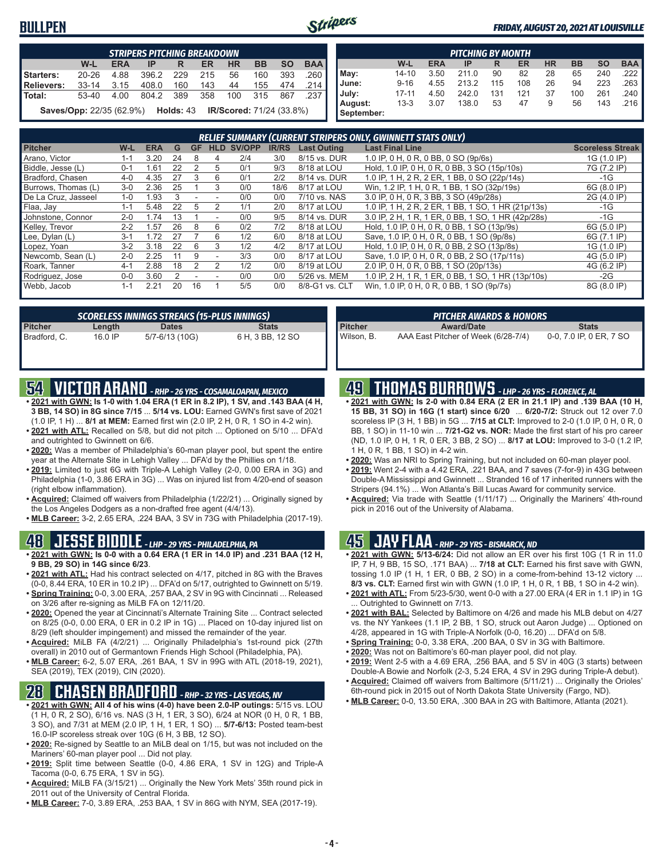#### **BULLPEN**



#### *FRIDAY, AUGUST 20, 2021 AT LOUISVILLE*

|                  |                                 |      | <b>STRIPERS PITCHING BREAKDOWN</b> |             |     |                                 |     |           |            |                       |          |            | <b>PITCHING BY MONTH</b> |     |     |    |     |                 |            |
|------------------|---------------------------------|------|------------------------------------|-------------|-----|---------------------------------|-----|-----------|------------|-----------------------|----------|------------|--------------------------|-----|-----|----|-----|-----------------|------------|
|                  | W-L                             | ERA  | <b>IP</b>                          | R           | ER  | ΗR                              | BB  | <b>SO</b> | <b>BAA</b> |                       | W-L      | <b>ERA</b> | IP                       | R   | ER  | HR | BB  | <b>SO</b>       | <b>BAA</b> |
| <b>Starters:</b> | $20 - 26$                       | 4.88 | 396.2                              | 229         | 215 | 56                              | 160 | 393       | 260        | May:                  | 14-10    | 3.50       | 211.0                    | 90  | 82  | 28 | 65  | 240             | .222       |
| Relievers:       | $33 - 14$                       | 3.15 | 408.0                              | 160         | 143 | 44                              | 155 | 474       | 214        | June:                 | $9 - 16$ | 4.55       | 213.2                    | 115 | 108 | 26 | 94  | 223             | 263        |
| Total:           | 53-40                           | 4.00 | 804.2                              | 389         | 358 | 100                             | 315 | 867       | 237        | July:                 | 17-11    | 4.50       | 242.0                    | 131 | 121 | 37 | 100 | 26 <sup>1</sup> | .240       |
|                  | <b>Saves/Opp: 22/35 (62.9%)</b> |      |                                    | Holds: $43$ |     | <b>IR/Scored:</b> 71/24 (33.8%) |     |           |            | August:<br>September: | $13 - 3$ | 3.07       | 138.0                    | 53  |     | 9  | 56  | 143             | .216       |

|                     | RELIEF SUMMARY (CURRENT STRIPERS ONLY, GWINNETT STATS ONLY) |            |    |           |                          |        |              |                    |                                                    |                         |
|---------------------|-------------------------------------------------------------|------------|----|-----------|--------------------------|--------|--------------|--------------------|----------------------------------------------------|-------------------------|
| <b>Pitcher</b>      | W-L                                                         | <b>ERA</b> | G  | <b>GF</b> | <b>HLD</b>               | SV/OPP | <b>IR/RS</b> | <b>Last Outing</b> | <b>Last Final Line</b>                             | <b>Scoreless Streak</b> |
| Arano, Victor       | $1 - 1$                                                     | 3.20       | 24 | 8         | 4                        | 2/4    | 3/0          | 8/15 vs. DUR       | 1.0 IP, 0 H, 0 R, 0 BB, 0 SO (9p/6s)               | 1G (1.0 IP)             |
| Biddle, Jesse (L)   | $0 - 1$                                                     | 1.61       | 22 |           | 5                        | 0/1    | 9/3          | 8/18 at LOU        | Hold, 1.0 IP, 0 H, 0 R, 0 BB, 3 SO (15p/10s)       | 7G (7.2 IP)             |
| Bradford, Chasen    | $4 - 0$                                                     | 4.35       | 27 | 3         | 6                        | 0/1    | 2/2          | 8/14 vs. DUR       | 1.0 IP, 1 H, 2 R, 2 ER, 1 BB, 0 SO (22p/14s)       | -1G                     |
| Burrows, Thomas (L) | $3-0$                                                       | 2.36       | 25 |           | 3                        | 0/0    | 18/6         | 8/17 at LOU        | Win, 1.2 IP, 1 H, 0 R, 1 BB, 1 SO (32p/19s)        | 6G (8.0 IP)             |
| De La Cruz, Jasseel | $1 - 0$                                                     | .93        |    |           |                          | 0/0    | 0/0          | 7/10 vs. NAS       | 3.0 IP, 0 H, 0 R, 3 BB, 3 SO (49p/28s)             | 2G (4.0 IP)             |
| Flaa, Jay           | $1 - 1$                                                     | 5.48       | 22 | 5         |                          | 1/1    | 2/0          | 8/17 at LOU        | 1.0 IP, 1 H, 2 R, 2 ER, 1 BB, 1 SO, 1 HR (21p/13s) | -1G                     |
| Johnstone, Connor   | $2 - 0$                                                     | 1.74       | 13 |           | $\overline{\phantom{a}}$ | 0/0    | 9/5          | 8/14 vs. DUR       | 3.0 IP, 2 H, 1 R, 1 ER, 0 BB, 1 SO, 1 HR (42p/28s) | -1G                     |
| Kelley, Trevor      | $2 - 2$                                                     | .57        | 26 | 8         | 6                        | 0/2    | 7/2          | 8/18 at LOU        | Hold, 1.0 IP, 0 H, 0 R, 0 BB, 1 SO (13p/9s)        | 6G (5.0 IP)             |
| Lee, Dylan (L)      | $3 - 1$                                                     | 1.72       |    |           | 6                        | 1/2    | 6/0          | 8/18 at LOU        | Save, 1.0 IP, 0 H, 0 R, 0 BB, 1 SO (9p/8s)         | 6G (7.1 IP)             |
| Lopez, Yoan         | $3-2$                                                       | 3.18       | 22 | 6         | 3                        | 1/2    | 4/2          | 8/17 at LOU        | Hold, 1.0 IP, 0 H, 0 R, 0 BB, 2 SO (13p/8s)        | 1G (1.0 IP)             |
| Newcomb, Sean (L)   | $2 - 0$                                                     | 2.25       | 11 | 9         |                          | 3/3    | 0/0          | 8/17 at LOU        | Save, 1.0 IP, 0 H, 0 R, 0 BB, 2 SO (17p/11s)       | 4G (5.0 IP)             |
| Roark, Tanner       | $4 - 1$                                                     | 2.88       | 18 |           |                          | 1/2    | 0/0          | 8/19 at LOU        | 2.0 IP, 0 H, 0 R, 0 BB, 1 SO (20p/13s)             | 4G (6.2 IP)             |
| Rodriguez, Jose     | $0 - 0$                                                     | 3.60       |    |           |                          | 0/0    | 0/0          | 5/26 vs. MEM       | 1.0 IP, 2 H, 1 R, 1 ER, 0 BB, 1 SO, 1 HR (13p/10s) | $-2G$                   |
| Webb, Jacob         | $1 - 1$                                                     | 2.21       | 20 | 16        |                          | 5/5    | 0/0          | 8/8-G1 vs. CLT     | Win, 1.0 IP, 0 H, 0 R, 0 BB, 1 SO (9p/7s)          | 8G (8.0 IP)             |

| SCORELESS INNINGS STREAKS (15-PLUS INNINGS) |           |                |                  |  |  |  |  |  |
|---------------------------------------------|-----------|----------------|------------------|--|--|--|--|--|
| <b>Pitcher</b>                              | Length    | <b>Dates</b>   | <b>Stats</b>     |  |  |  |  |  |
| Bradford, C.                                | $16.0$ IP | 5/7-6/13 (10G) | 6 H, 3 BB, 12 SO |  |  |  |  |  |

# **54 VICTOR ARANO** *- RHP - 26 YRS - COSAMALOAPAN, MEXICO*

- **• 2021 with GWN: Is 1-0 with 1.04 ERA (1 ER in 8.2 IP), 1 SV, and .143 BAA (4 H, 3 BB, 14 SO) in 8G since 7/15** ... **5/14 vs. LOU:** Earned GWN's first save of 2021 (1.0 IP, 1 H) ... **8/1 at MEM:** Earned first win (2.0 IP, 2 H, 0 R, 1 SO in 4-2 win).
- **• 2021 with ATL:** Recalled on 5/8, but did not pitch ... Optioned on 5/10 ... DFA'd and outrighted to Gwinnett on 6/6.
- **• 2020:** Was a member of Philadelphia's 60-man player pool, but spent the entire year at the Alternate Site in Lehigh Valley ... DFA'd by the Phillies on 1/18.
- **• 2019:** Limited to just 6G with Triple-A Lehigh Valley (2-0, 0.00 ERA in 3G) and Philadelphia (1-0, 3.86 ERA in 3G) ... Was on injured list from 4/20-end of season (right elbow inflammation).
- **• Acquired:** Claimed off waivers from Philadelphia (1/22/21) ... Originally signed by the Los Angeles Dodgers as a non-drafted free agent (4/4/13).
- **• MLB Career:** 3-2, 2.65 ERA, .224 BAA, 3 SV in 73G with Philadelphia (2017-19).

#### **48 JESSE BIDDLE** *- LHP - 29 YRS - PHILADELPHIA, PA*

- **• 2021 with GWN: Is 0-0 with a 0.64 ERA (1 ER in 14.0 IP) and .231 BAA (12 H, 9 BB, 29 SO) in 14G since 6/23**.
- **• 2021 with ATL:** Had his contract selected on 4/17, pitched in 8G with the Braves (0-0, 8.44 ERA, 10 ER in 10.2 IP) ... DFA'd on 5/17, outrighted to Gwinnett on 5/19.
- **• Spring Training:** 0-0, 3.00 ERA, .257 BAA, 2 SV in 9G with Cincinnati ... Released on 3/26 after re-signing as MiLB FA on 12/11/20.
- **• 2020:** Opened the year at Cincinnati's Alternate Training Site ... Contract selected on 8/25 (0-0, 0.00 ERA, 0 ER in 0.2 IP in 1G) ... Placed on 10-day injured list on 8/29 (left shoulder impingement) and missed the remainder of the year.
- **• Acquired:** MiLB FA (4/2/21) ... Originally Philadelphia's 1st-round pick (27th overall) in 2010 out of Germantown Friends High School (Philadelphia, PA).
- **• MLB Career:** 6-2, 5.07 ERA, .261 BAA, 1 SV in 99G with ATL (2018-19, 2021), SEA (2019), TEX (2019), CIN (2020).

### **28 CHASEN BRADFORD** *- RHP - 32 YRS - LAS VEGAS, NV*

- **• 2021 with GWN: All 4 of his wins (4-0) have been 2.0-IP outings:** 5/15 vs. LOU (1 H, 0 R, 2 SO), 6/16 vs. NAS (3 H, 1 ER, 3 SO), 6/24 at NOR (0 H, 0 R, 1 BB, 3 SO), and 7/31 at MEM (2.0 IP, 1 H, 1 ER, 1 SO) ... **5/7-6/13:** Posted team-best 16.0-IP scoreless streak over 10G (6 H, 3 BB, 12 SO).
- **• 2020:** Re-signed by Seattle to an MiLB deal on 1/15, but was not included on the Mariners' 60-man player pool ... Did not play.
- **• 2019:** Split time between Seattle (0-0, 4.86 ERA, 1 SV in 12G) and Triple-A Tacoma (0-0, 6.75 ERA, 1 SV in 5G).
- **• Acquired:** MiLB FA (3/15/21) ... Originally the New York Mets' 35th round pick in 2011 out of the University of Central Florida.
- **• MLB Career:** 7-0, 3.89 ERA, .253 BAA, 1 SV in 86G with NYM, SEA (2017-19).

|  | 49 THOMAS BURROWS - LHP - 26 YRS - FLORENCE, AL |
|--|-------------------------------------------------|
|--|-------------------------------------------------|

**Pitcher Award/Date Stats** Wilson, B. AAA East Pitcher of Week (6/28-7/4) 0-0, 7.0 IP, 0 ER, 7 SO

**• 2021 with GWN: Is 2-0 with 0.84 ERA (2 ER in 21.1 IP) and .139 BAA (10 H, 15 BB, 31 SO) in 16G (1 start) since 6/20** ... **6/20-7/2:** Struck out 12 over 7.0 scoreless IP (3 H, 1 BB) in 5G ... **7/15 at CLT:** Improved to 2-0 (1.0 IP, 0 H, 0 R, 0 BB, 1 SO) in 11-10 win ... **7/21-G2 vs. NOR:** Made the first start of his pro career (ND, 1.0 IP, 0 H, 1 R, 0 ER, 3 BB, 2 SO) ... **8/17 at LOU:** Improved to 3-0 (1.2 IP, 1 H, 0 R, 1 BB, 1 SO) in 4-2 win.

*PITCHER AWARDS & HONORS*

- **• 2020:** Was an NRI to Spring Training, but not included on 60-man player pool.
- **• 2019:** Went 2-4 with a 4.42 ERA, .221 BAA, and 7 saves (7-for-9) in 43G between Double-A Mississippi and Gwinnett ... Stranded 16 of 17 inherited runners with the Stripers (94.1%) ... Won Atlanta's Bill Lucas Award for community service.
- **• Acquired:** Via trade with Seattle (1/11/17) ... Originally the Mariners' 4th-round pick in 2016 out of the University of Alabama.

### **45 JAY FLAA** *- RHP - 29 YRS - BISMARCK, ND*

- **• 2021 with GWN: 5/13-6/24:** Did not allow an ER over his first 10G (1 R in 11.0 IP, 7 H, 9 BB, 15 SO, .171 BAA) ... **7/18 at CLT:** Earned his first save with GWN, tossing 1.0 IP (1 H, 1 ER, 0 BB, 2 SO) in a come-from-behind 13-12 victory ... **8/3 vs. CLT:** Earned first win with GWN (1.0 IP, 1 H, 0 R, 1 BB, 1 SO in 4-2 win).
- **• 2021 with ATL:** From 5/23-5/30, went 0-0 with a 27.00 ERA (4 ER in 1.1 IP) in 1G Outrighted to Gwinnett on 7/13.
- **• 2021 with BAL:** Selected by Baltimore on 4/26 and made his MLB debut on 4/27 vs. the NY Yankees (1.1 IP, 2 BB, 1 SO, struck out Aaron Judge) ... Optioned on 4/28, appeared in 1G with Triple-A Norfolk (0-0, 16.20) ... DFA'd on 5/8.
- **• Spring Training:** 0-0, 3.38 ERA, .200 BAA, 0 SV in 3G with Baltimore.
- **• 2020:** Was not on Baltimore's 60-man player pool, did not play.
- **• 2019:** Went 2-5 with a 4.69 ERA, .256 BAA, and 5 SV in 40G (3 starts) between Double-A Bowie and Norfolk (2-3, 5.24 ERA, 4 SV in 29G during Triple-A debut).
- **• Acquired:** Claimed off waivers from Baltimore (5/11/21) ... Originally the Orioles' 6th-round pick in 2015 out of North Dakota State University (Fargo, ND).
- **• MLB Career:** 0-0, 13.50 ERA, .300 BAA in 2G with Baltimore, Atlanta (2021).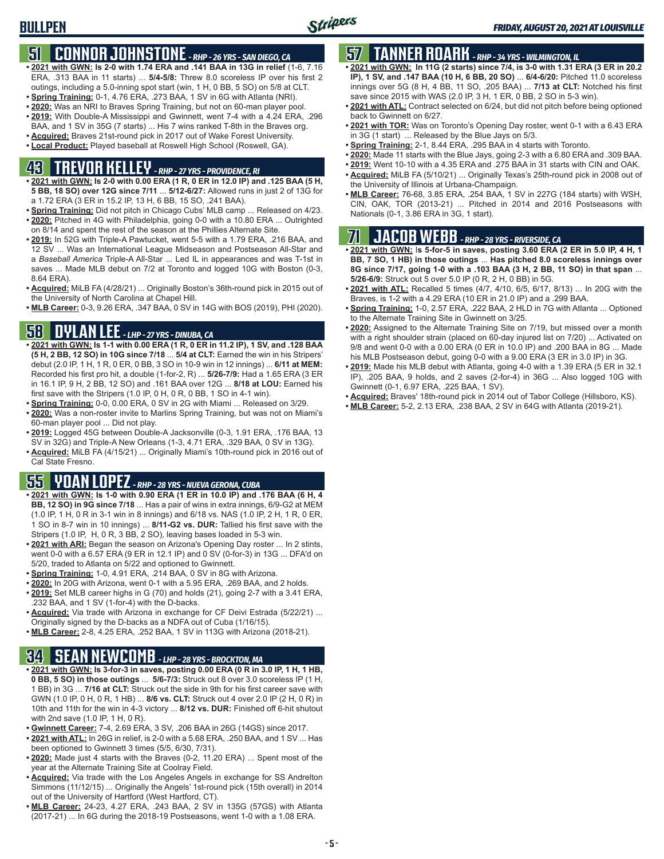### **51 CONNOR JOHNSTONE** *- RHP - 26 YRS - SAN DIEGO, CA*

- **• 2021 with GWN: Is 2-0 with 1.74 ERA and .141 BAA in 13G in relief** (1-6, 7.16 ERA, .313 BAA in 11 starts) ... **5/4-5/8:** Threw 8.0 scoreless IP over his first 2 outings, including a 5.0-inning spot start (win, 1 H, 0 BB, 5 SO) on 5/8 at CLT.
- **• Spring Training:** 0-1, 4.76 ERA, .273 BAA, 1 SV in 6G with Atlanta (NRI).
- **• 2020:** Was an NRI to Braves Spring Training, but not on 60-man player pool.
- **• 2019:** With Double-A Mississippi and Gwinnett, went 7-4 with a 4.24 ERA, .296 BAA, and 1 SV in 35G (7 starts) ... His 7 wins ranked T-8th in the Braves org.
- **• Acquired:** Braves 21st-round pick in 2017 out of Wake Forest University.
- **• Local Product:** Played baseball at Roswell High School (Roswell, GA).

# **43 TREVOR KELLEY** *- RHP - 27 YRS - PROVIDENCE, RI*

- **• 2021 with GWN: Is 2-0 with 0.00 ERA (1 R, 0 ER in 12.0 IP) and .125 BAA (5 H, 5 BB, 18 SO) over 12G since 7/11** ... **5/12-6/27:** Allowed runs in just 2 of 13G for a 1.72 ERA (3 ER in 15.2 IP, 13 H, 6 BB, 15 SO, .241 BAA).
- **• Spring Training:** Did not pitch in Chicago Cubs' MLB camp ... Released on 4/23. **• 2020:** Pitched in 4G with Philadelphia, going 0-0 with a 10.80 ERA ... Outrighted on 8/14 and spent the rest of the season at the Phillies Alternate Site.
- **• 2019:** In 52G with Triple-A Pawtucket, went 5-5 with a 1.79 ERA, .216 BAA, and 12 SV ... Was an International League Midseason and Postseason All-Star and a *Baseball America* Triple-A All-Star ... Led IL in appearances and was T-1st in saves ... Made MLB debut on 7/2 at Toronto and logged 10G with Boston (0-3, 8.64 ERA).
- **• Acquired:** MiLB FA (4/28/21) ... Originally Boston's 36th-round pick in 2015 out of the University of North Carolina at Chapel Hill.
- **• MLB Career:** 0-3, 9.26 ERA, .347 BAA, 0 SV in 14G with BOS (2019), PHI (2020).

### **58 DYLAN LEE** *- LHP - 27 YRS - DINUBA, CA*

- **• 2021 with GWN: Is 1-1 with 0.00 ERA (1 R, 0 ER in 11.2 IP), 1 SV, and .128 BAA (5 H, 2 BB, 12 SO) in 10G since 7/18** ... **5/4 at CLT:** Earned the win in his Stripers' debut (2.0 IP, 1 H, 1 R, 0 ER, 0 BB, 3 SO in 10-9 win in 12 innings) ... **6/11 at MEM:** Recorded his first pro hit, a double (1-for-2, R) ... **5/26-7/9:** Had a 1.65 ERA (3 ER in 16.1 IP, 9 H, 2 BB, 12 SO) and .161 BAA over 12G ... **8/18 at LOU:** Earned his first save with the Stripers (1.0 IP, 0 H, 0 R, 0 BB, 1 SO in 4-1 win).
- **• Spring Training:** 0-0, 0.00 ERA, 0 SV in 2G with Miami ... Released on 3/29.
- **• 2020:** Was a non-roster invite to Marlins Spring Training, but was not on Miami's 60-man player pool ... Did not play.
- **• 2019:** Logged 45G between Double-A Jacksonville (0-3, 1.91 ERA, .176 BAA, 13 SV in 32G) and Triple-A New Orleans (1-3, 4.71 ERA, .329 BAA, 0 SV in 13G).
- **• Acquired:** MiLB FA (4/15/21) ... Originally Miami's 10th-round pick in 2016 out of Cal State Fresno.

### **55 YOAN LOPEZ** *- RHP - 28 YRS - NUEVA GERONA, CUBA*

- **• 2021 with GWN: Is 1-0 with 0.90 ERA (1 ER in 10.0 IP) and .176 BAA (6 H, 4 BB, 12 SO) in 9G since 7/18** ... Has a pair of wins in extra innings, 6/9-G2 at MEM (1.0 IP, 1 H, 0 R in 3-1 win in 8 innings) and 6/18 vs. NAS (1.0 IP, 2 H, 1 R, 0 ER, 1 SO in 8-7 win in 10 innings) ... **8/11-G2 vs. DUR:** Tallied his first save with the Stripers (1.0 IP, H, 0 R, 3 BB, 2 SO), leaving bases loaded in 5-3 win.
- **• 2021 with ARI:** Began the season on Arizona's Opening Day roster ... In 2 stints, went 0-0 with a 6.57 ERA (9 ER in 12.1 IP) and 0 SV (0-for-3) in 13G ... DFA'd on 5/20, traded to Atlanta on 5/22 and optioned to Gwinnett.
- **• Spring Training:** 1-0, 4.91 ERA, .214 BAA, 0 SV in 8G with Arizona.
- **• 2020:** In 20G with Arizona, went 0-1 with a 5.95 ERA, .269 BAA, and 2 holds.
- **• 2019:** Set MLB career highs in G (70) and holds (21), going 2-7 with a 3.41 ERA, .232 BAA, and 1 SV (1-for-4) with the D-backs.
- **• Acquired:** Via trade with Arizona in exchange for CF Deivi Estrada (5/22/21) ... Originally signed by the D-backs as a NDFA out of Cuba (1/16/15).
- **• MLB Career:** 2-8, 4.25 ERA, .252 BAA, 1 SV in 113G with Arizona (2018-21).

# **34 SEAN NEWCOMB** *- LHP - 28 YRS - BROCKTON, MA*

- **• 2021 with GWN: Is 3-for-3 in saves, posting 0.00 ERA (0 R in 3.0 IP, 1 H, 1 HB, 0 BB, 5 SO) in those outings** ... **5/6-7/3:** Struck out 8 over 3.0 scoreless IP (1 H, 1 BB) in 3G ... **7/16 at CLT:** Struck out the side in 9th for his first career save with GWN (1.0 IP, 0 H, 0 R, 1 HB) ... **8/6 vs. CLT:** Struck out 4 over 2.0 IP (2 H, 0 R) in 10th and 11th for the win in 4-3 victory ... **8/12 vs. DUR:** Finished off 6-hit shutout with 2nd save (1.0 IP, 1 H, 0 R).
- **• Gwinnett Career:** 7-4, 2.69 ERA, 3 SV, .206 BAA in 26G (14GS) since 2017.
- **• 2021 with ATL:** In 26G in relief, is 2-0 with a 5.68 ERA, .250 BAA, and 1 SV ... Has been optioned to Gwinnett 3 times (5/5, 6/30, 7/31).
- **• 2020:** Made just 4 starts with the Braves (0-2, 11.20 ERA) ... Spent most of the year at the Alternate Training Site at Coolray Field.
- **• Acquired:** Via trade with the Los Angeles Angels in exchange for SS Andrelton Simmons (11/12/15) ... Originally the Angels' 1st-round pick (15th overall) in 2014 out of the University of Hartford (West Hartford, CT).
- **• MLB Career:** 24-23, 4.27 ERA, .243 BAA, 2 SV in 135G (57GS) with Atlanta (2017-21) ... In 6G during the 2018-19 Postseasons, went 1-0 with a 1.08 ERA.

# **57 TANNER ROARK** *- RHP - 34 YRS - WILMINGTON, IL*

- **• 2021 with GWN: In 11G (2 starts) since 7/4, is 3-0 with 1.31 ERA (3 ER in 20.2 IP), 1 SV, and .147 BAA (10 H, 6 BB, 20 SO)** ... **6/4-6/20:** Pitched 11.0 scoreless innings over 5G (8 H, 4 BB, 11 SO, .205 BAA) ... **7/13 at CLT:** Notched his first save since 2015 with WAS (2.0 IP, 3 H, 1 ER, 0 BB, 2 SO in 5-3 win).
- **• 2021 with ATL:** Contract selected on 6/24, but did not pitch before being optioned back to Gwinnett on 6/27.
- **• 2021 with TOR:** Was on Toronto's Opening Day roster, went 0-1 with a 6.43 ERA in 3G (1 start) ... Released by the Blue Jays on 5/3.
- **• Spring Training:** 2-1, 8.44 ERA, .295 BAA in 4 starts with Toronto.
- **• 2020:** Made 11 starts with the Blue Jays, going 2-3 with a 6.80 ERA and .309 BAA.
- **• 2019:** Went 10-10 with a 4.35 ERA and .275 BAA in 31 starts with CIN and OAK.
- **• Acquired:** MiLB FA (5/10/21) ... Originally Texas's 25th-round pick in 2008 out of the University of Illinois at Urbana-Champaign.
- **• MLB Career:** 76-68, 3.85 ERA, .254 BAA, 1 SV in 227G (184 starts) with WSH, CIN, OAK, TOR (2013-21) ... Pitched in 2014 and 2016 Postseasons with Nationals (0-1, 3.86 ERA in 3G, 1 start).

# **71 JACOB WEBB** *- RHP - 28 YRS - RIVERSIDE, CA*

**• 2021 with GWN:** I**s 5-for-5 in saves, posting 3.60 ERA (2 ER in 5.0 IP, 4 H, 1 BB, 7 SO, 1 HB) in those outings** ... **Has pitched 8.0 scoreless innings over 8G since 7/17, going 1-0 with a .103 BAA (3 H, 2 BB, 11 SO) in that span** ... **5/26-6/9:** Struck out 5 over 5.0 IP (0 R, 2 H, 0 BB) in 5G.

- **• 2021 with ATL:** Recalled 5 times (4/7, 4/10, 6/5, 6/17, 8/13) ... In 20G with the Braves, is 1-2 with a 4.29 ERA (10 ER in 21.0 IP) and a .299 BAA.
- **• Spring Training:** 1-0, 2.57 ERA, .222 BAA, 2 HLD in 7G with Atlanta ... Optioned to the Alternate Training Site in Gwinnett on 3/25.
- **• 2020:** Assigned to the Alternate Training Site on 7/19, but missed over a month with a right shoulder strain (placed on 60-day injured list on 7/20) ... Activated on 9/8 and went 0-0 with a 0.00 ERA (0 ER in 10.0 IP) and .200 BAA in 8G ... Made his MLB Postseason debut, going 0-0 with a 9.00 ERA (3 ER in 3.0 IP) in 3G.
- **• 2019:** Made his MLB debut with Atlanta, going 4-0 with a 1.39 ERA (5 ER in 32.1 IP), .205 BAA, 9 holds, and 2 saves (2-for-4) in 36G ... Also logged 10G with Gwinnett (0-1, 6.97 ERA, .225 BAA, 1 SV).
- **• Acquired:** Braves' 18th-round pick in 2014 out of Tabor College (Hillsboro, KS).
- **• MLB Career:** 5-2, 2.13 ERA, .238 BAA, 2 SV in 64G with Atlanta (2019-21).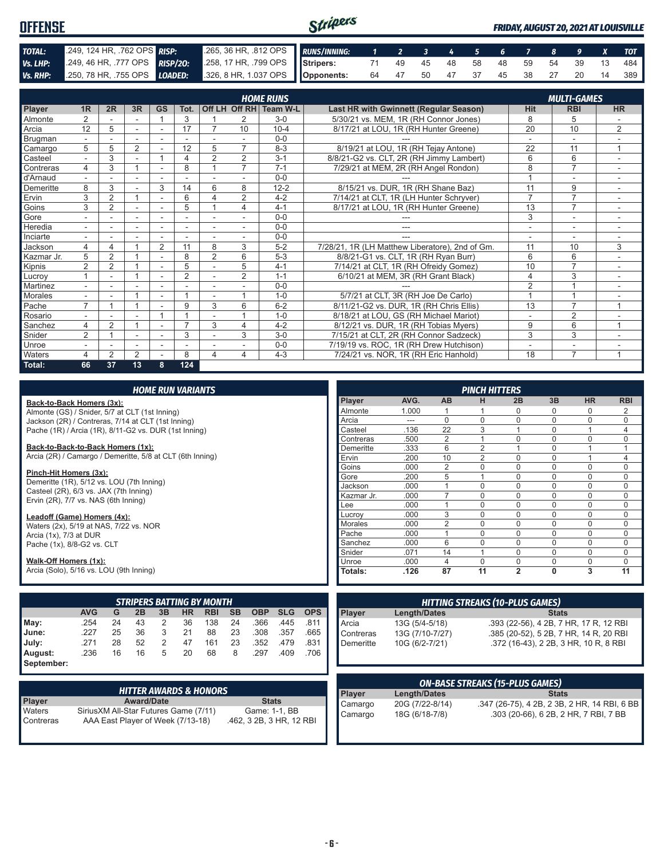| <b>OFFENSE</b> |                                                                                              |                                                          | Stripers |  |  |  |  |  | <b>FRIDAY, AUGUST 20, 2021 AT LOUISVILLE</b> |
|----------------|----------------------------------------------------------------------------------------------|----------------------------------------------------------|----------|--|--|--|--|--|----------------------------------------------|
| TOTAL:         | 249, 124 HR, 762 OPS RISP:                                                                   | 265, 36 HR, 812 OPS RUNS/INNING: 1 2 3 4 5 6 7 8 9 X TOT |          |  |  |  |  |  |                                              |
| Vs. LHP:       | 249, 46 HR, 777 OPS RISP/20: 258, 17 HR, 799 OPS STRIP STRIP 68: 249 45 48 58 48 59 54 39 13 |                                                          |          |  |  |  |  |  | 484 I                                        |
|                | Vs. RHP: 250, 78 HR, 755 OPS LOADED: 326, 8 HR, 1.037 OPS Opponents:                         |                                                          |          |  |  |  |  |  | 64  47  50  47  37  45  38  27  20  14  389  |

|            |                          |                |                |                |                          | <b>HOME RUNS</b><br><b>MULTI-GAMES</b> |                          |                        |                                                 |                          |                          |                |  |  |  |
|------------|--------------------------|----------------|----------------|----------------|--------------------------|----------------------------------------|--------------------------|------------------------|-------------------------------------------------|--------------------------|--------------------------|----------------|--|--|--|
| Player     | 1R                       | 2R             | 3R             | <b>GS</b>      | Tot.                     |                                        |                          | Off LH Off RH Team W-L | Last HR with Gwinnett (Regular Season)          | <b>Hit</b>               | <b>RBI</b>               | <b>HR</b>      |  |  |  |
| Almonte    | $\overline{2}$           |                |                |                | 3                        |                                        | $\overline{2}$           | $3-0$                  | 5/30/21 vs. MEM, 1R (RH Connor Jones)           | 8                        | 5                        |                |  |  |  |
| Arcia      | 12                       | 5              | ٠              | ٠              | 17                       |                                        | 10                       | $10 - 4$               | 8/17/21 at LOU, 1R (RH Hunter Greene)           | 20                       | 10                       | 2              |  |  |  |
| Brugman    |                          |                |                |                |                          |                                        |                          | $0 - 0$                |                                                 |                          | $\overline{\phantom{a}}$ |                |  |  |  |
| Camargo    | 5                        | 5              | 2              |                | 12                       | 5                                      | $\overline{7}$           | $8 - 3$                | 8/19/21 at LOU, 1R (RH Tejay Antone)            | 22                       | 11                       | 1              |  |  |  |
| Casteel    |                          | 3              |                |                | 4                        | $\overline{2}$                         | $\overline{2}$           | $3 - 1$                | 8/8/21-G2 vs. CLT, 2R (RH Jimmy Lambert)        | 6                        | 6                        | ٠              |  |  |  |
| Contreras  | 4                        | 3              |                |                | 8                        |                                        | $\overline{7}$           | $7 - 1$                | 7/29/21 at MEM, 2R (RH Angel Rondon)            | 8                        | $\overline{7}$           |                |  |  |  |
| d'Arnaud   |                          |                | ٠              |                |                          |                                        |                          | $0 - 0$                |                                                 |                          | $\overline{\phantom{a}}$ |                |  |  |  |
| Demeritte  | 8                        | 3              |                | 3              | 14                       | 6                                      | 8                        | $12 - 2$               | 8/15/21 vs. DUR, 1R (RH Shane Baz)              | 11                       | 9                        |                |  |  |  |
| Ervin      | 3                        | $\overline{2}$ |                | ÷,             | 6                        | 4                                      | $\overline{2}$           | $4 - 2$                | 7/14/21 at CLT, 1R (LH Hunter Schryver)         | $\overline{7}$           | $\overline{7}$           |                |  |  |  |
| Goins      | 3                        | $\overline{2}$ |                |                | 5                        |                                        | 4                        | $4 - 1$                | 8/17/21 at LOU, 1R (RH Hunter Greene)           | 13                       | $\overline{7}$           |                |  |  |  |
| Gore       |                          |                | ۰              |                | $\overline{\phantom{a}}$ | ۰                                      |                          | $0-0$                  |                                                 | 3                        | $\overline{\phantom{a}}$ |                |  |  |  |
| Heredia    | $\sim$                   |                | ٠              | ۰              | ٠                        | ٠                                      | $\overline{\phantom{a}}$ | $0 - 0$                | ---                                             | $\overline{\phantom{a}}$ | $\overline{\phantom{a}}$ | ٠              |  |  |  |
| Inciarte   |                          |                |                |                |                          |                                        |                          | $0 - 0$                |                                                 |                          |                          |                |  |  |  |
| Jackson    | 4                        | 4              |                | $\overline{2}$ | 11                       | 8                                      | 3                        | $5 - 2$                | 7/28/21, 1R (LH Matthew Liberatore), 2nd of Gm. | 11                       | 10                       | 3              |  |  |  |
| Kazmar Jr. | 5                        | 2              |                |                | 8                        | $\overline{2}$                         | 6                        | $5 - 3$                | 8/8/21-G1 vs. CLT, 1R (RH Ryan Burr)            | 6                        | 6                        |                |  |  |  |
| Kipnis     | $\overline{2}$           | $\overline{2}$ |                |                | 5                        |                                        | 5                        | $4 - 1$                | 7/14/21 at CLT, 1R (RH Ofreidy Gomez)           | 10                       | $\overline{7}$           |                |  |  |  |
| Lucrov     |                          |                |                | ٠              | 2                        | $\overline{a}$                         | 2                        | $1 - 1$                | 6/10/21 at MEM, 3R (RH Grant Black)             | $\overline{4}$           | 3                        | ٠.             |  |  |  |
| Martinez   |                          |                |                |                |                          | $\overline{\phantom{a}}$               |                          | $0 - 0$                |                                                 | 2                        |                          |                |  |  |  |
| Morales    |                          |                |                | ٠              |                          |                                        |                          | $1 - 0$                | 5/7/21 at CLT, 3R (RH Joe De Carlo)             |                          |                          |                |  |  |  |
| Pache      | $\overline{ }$           |                |                |                | 9                        | 3                                      | 6                        | $6 - 2$                | 8/11/21-G2 vs. DUR, 1R (RH Chris Ellis)         | 13                       | $\overline{7}$           | $\overline{ }$ |  |  |  |
| Rosario    |                          |                | ٠              |                |                          |                                        |                          | $1 - 0$                | 8/18/21 at LOU, GS (RH Michael Mariot)          | $\blacksquare$           | 2                        |                |  |  |  |
| Sanchez    | 4                        | $\overline{2}$ |                |                | $\overline{\phantom{a}}$ | 3                                      | 4                        | $4 - 2$                | 8/12/21 vs. DUR, 1R (RH Tobias Myers)           | 9                        | 6                        |                |  |  |  |
| Snider     | 2                        |                | ÷.             |                | 3                        |                                        | 3                        | $3-0$                  | 7/15/21 at CLT, 2R (RH Connor Sadzeck)          | 3                        | 3                        |                |  |  |  |
| Unroe      | $\overline{\phantom{a}}$ |                | ٠              | ٠              |                          |                                        |                          | $0 - 0$                | 7/19/19 vs. ROC, 1R (RH Drew Hutchison)         | ٠                        | $\overline{\phantom{a}}$ |                |  |  |  |
| Waters     | 4                        | $\overline{2}$ | $\overline{2}$ |                | 8                        | 4                                      | 4                        | $4 - 3$                | 7/24/21 vs. NOR. 1R (RH Eric Hanhold)           | 18                       | $\overline{7}$           | $\overline{A}$ |  |  |  |
| Total:     | 66                       | 37             | 13             | 8              | 124                      |                                        |                          |                        |                                                 |                          |                          |                |  |  |  |

|               |                                           |                | <b>PINCH HITTERS</b>                                                                                                            |                      |          |                                                                                                  |                                                                                                                           |
|---------------|-------------------------------------------|----------------|---------------------------------------------------------------------------------------------------------------------------------|----------------------|----------|--------------------------------------------------------------------------------------------------|---------------------------------------------------------------------------------------------------------------------------|
| <b>Player</b> | AVG.                                      | AB             | н                                                                                                                               | 2B                   | 3B       | <b>HR</b>                                                                                        | <b>RBI</b>                                                                                                                |
| Almonte       | 1.000                                     |                |                                                                                                                                 | $\Omega$             |          | 0                                                                                                | 2                                                                                                                         |
| Arcia         | ---                                       | $\Omega$       | $\Omega$                                                                                                                        | $\Omega$             | $\Omega$ | $\Omega$                                                                                         | 0                                                                                                                         |
| Casteel       | .136                                      | 22             | 3                                                                                                                               |                      | $\Omega$ | $\overline{1}$                                                                                   | 4                                                                                                                         |
| Contreras     | .500                                      |                |                                                                                                                                 | $\Omega$             | $\Omega$ | $\mathbf 0$                                                                                      | 0                                                                                                                         |
| Demeritte     |                                           |                |                                                                                                                                 |                      | $\Omega$ |                                                                                                  | 1                                                                                                                         |
| Ervin         | .200                                      |                | $\overline{2}$                                                                                                                  | $\Omega$             | $\Omega$ | 1                                                                                                | 4                                                                                                                         |
| Goins         | .000                                      | $\overline{2}$ | $\mathbf 0$                                                                                                                     | $\Omega$             | $\Omega$ | $\mathbf 0$                                                                                      | 0                                                                                                                         |
| Gore          | .200                                      | 5              |                                                                                                                                 | $\Omega$             | $\Omega$ | $\mathbf 0$                                                                                      | $\mathbf 0$                                                                                                               |
| Jackson       | .000                                      |                | $\mathbf 0$                                                                                                                     | $\Omega$             | $\Omega$ | $\mathbf 0$                                                                                      | 0                                                                                                                         |
| Kazmar Jr.    | .000                                      | $\overline{7}$ | $\Omega$                                                                                                                        | $\Omega$             | $\Omega$ | $\Omega$                                                                                         | $\Omega$                                                                                                                  |
| Lee           | .000                                      |                | $\mathbf 0$                                                                                                                     | $\Omega$             | $\Omega$ | $\mathbf 0$                                                                                      | 0                                                                                                                         |
| Lucrov        | .000                                      | 3              | $\Omega$                                                                                                                        | $\Omega$             | $\Omega$ | 0                                                                                                | 0                                                                                                                         |
| Morales       | .000                                      |                | $\Omega$                                                                                                                        | $\Omega$             | $\Omega$ | $\Omega$                                                                                         | $\Omega$                                                                                                                  |
| Pache         | .000                                      |                | $\Omega$                                                                                                                        | $\Omega$             | $\Omega$ | $\mathbf 0$                                                                                      | 0                                                                                                                         |
| Sanchez       | .000                                      | 6              | $\Omega$                                                                                                                        | $\Omega$             | $\Omega$ | $\mathbf 0$                                                                                      | 0                                                                                                                         |
| Snider        | .071                                      | 14             |                                                                                                                                 | $\Omega$             | $\Omega$ | $\mathbf 0$                                                                                      | 0                                                                                                                         |
| Unroe         | .000                                      | $\overline{4}$ | $\mathbf 0$                                                                                                                     | $\Omega$             | $\Omega$ | $\mathbf 0$                                                                                      | 0                                                                                                                         |
| Totals:       | .126                                      |                |                                                                                                                                 | $\overline{2}$       | 0        | 3                                                                                                | 11                                                                                                                        |
|               |                                           |                |                                                                                                                                 |                      |          |                                                                                                  |                                                                                                                           |
|               |                                           |                |                                                                                                                                 |                      |          |                                                                                                  |                                                                                                                           |
|               |                                           |                |                                                                                                                                 |                      |          |                                                                                                  |                                                                                                                           |
|               |                                           |                |                                                                                                                                 |                      |          |                                                                                                  |                                                                                                                           |
|               |                                           |                |                                                                                                                                 |                      |          |                                                                                                  |                                                                                                                           |
|               |                                           |                |                                                                                                                                 |                      |          |                                                                                                  |                                                                                                                           |
|               |                                           |                |                                                                                                                                 |                      |          |                                                                                                  |                                                                                                                           |
|               |                                           |                |                                                                                                                                 |                      |          |                                                                                                  |                                                                                                                           |
|               |                                           |                |                                                                                                                                 |                      |          |                                                                                                  |                                                                                                                           |
|               | Player<br>Arcia<br>Contreras<br>Demeritte | .333           | $\overline{2}$<br>6<br>10<br>$\overline{2}$<br>87<br><b>Length/Dates</b><br>13G (5/4-5/18)<br>13G (7/10-7/27)<br>10G (6/2-7/21) | $\overline{2}$<br>11 |          | <b>HITTING STREAKS (10-PLUS GAMES)</b><br><b>Stats</b><br><b>ON-BASE STREAKS (15-PLUS GAMES)</b> | .393 (22-56), 4 2B, 7 HR, 17 R, 12 RBI<br>.385 (20-52), 5 2B, 7 HR, 14 R, 20 RBI<br>.372 (16-43), 2 2B, 3 HR, 10 R, 8 RBI |

| ' HITTER AWARDS & HONORS . |                                        |                          |  |  |  |  |  |  |
|----------------------------|----------------------------------------|--------------------------|--|--|--|--|--|--|
| <b>Player</b>              | <b>Award/Date</b>                      | <b>Stats</b>             |  |  |  |  |  |  |
| <b>Waters</b>              | Sirius XM All-Star Futures Game (7/11) | Game: 1-1, BB            |  |  |  |  |  |  |
| l Contreras                | AAA East Player of Week (7/13-18)      | .462, 3 2B, 3 HR, 12 RBI |  |  |  |  |  |  |

| <b>ON-BASE STREAKS (15-PLUS GAMES)</b> |                                   |                                                                                       |  |  |  |  |  |  |
|----------------------------------------|-----------------------------------|---------------------------------------------------------------------------------------|--|--|--|--|--|--|
| <b>Player</b>                          | Length/Dates                      | <b>Stats</b>                                                                          |  |  |  |  |  |  |
| Camargo<br>Camargo                     | 20G (7/22-8/14)<br>18G (6/18-7/8) | .347 (26-75), 4 2B, 2 3B, 2 HR, 14 RBI, 6 BB<br>.303 (20-66), 6 2B, 2 HR, 7 RBI, 7 BB |  |  |  |  |  |  |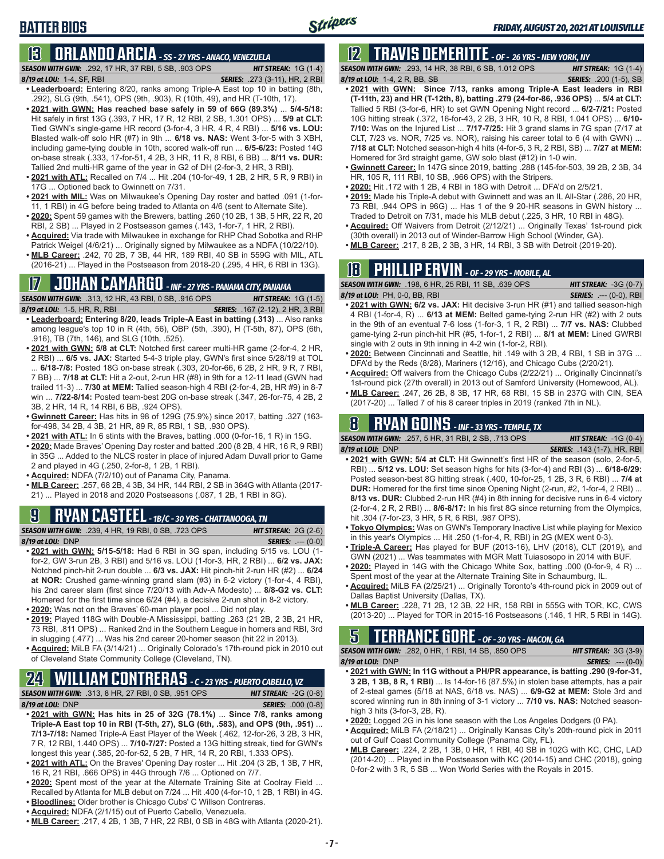# **13 ORLANDO ARCIA** *- SS - 27 YRS - ANACO, VENEZUELA*

*SEASON WITH GWN:*.292, 17 HR, 37 RBI, 5 SB, .903 OPS *HIT STREAK:* 1G (1-4) *8/19 at LOU:*1-4, SF, RBI *SERIES:* .273 (3-11), HR, 2 RBI

- **• Leaderboard:** Entering 8/20, ranks among Triple-A East top 10 in batting (8th, .292), SLG (9th, .541), OPS (9th, .903), R (10th, 49), and HR (T-10th, 17).
- **• 2021 with GWN: Has reached base safely in 59 of 66G (89.3%)** ... **5/4-5/18:**  Hit safely in first 13G (.393, 7 HR, 17 R, 12 RBI, 2 SB, 1.301 OPS) ... **5/9 at CLT:** Tied GWN's single-game HR record (3-for-4, 3 HR, 4 R, 4 RBI) ... **5/16 vs. LOU:** Blasted walk-off solo HR (#7) in 9th ... **6/18 vs. NAS:** Went 3-for-5 with 3 XBH, including game-tying double in 10th, scored walk-off run ... **6/5-6/23:** Posted 14G on-base streak (.333, 17-for-51, 4 2B, 3 HR, 11 R, 8 RBI, 6 BB) ... **8/11 vs. DUR:** Tallied 2nd multi-HR game of the year in G2 of DH (2-for-3, 2 HR, 3 RBI).
- **• 2021 with ATL:** Recalled on 7/4 ... Hit .204 (10-for-49, 1 2B, 2 HR, 5 R, 9 RBI) in 17G ... Optioned back to Gwinnett on 7/31.
- **• 2021 with MIL:** Was on Milwaukee's Opening Day roster and batted .091 (1-for-11, 1 RBI) in 4G before being traded to Atlanta on 4/6 (sent to Alternate Site).
- **• 2020:** Spent 59 games with the Brewers, batting .260 (10 2B, 1 3B, 5 HR, 22 R, 20 RBI, 2 SB) ... Played in 2 Postseason games (.143, 1-for-7, 1 HR, 2 RBI).
- **• Acquired:** Via trade with Milwaukee in exchange for RHP Chad Sobotka and RHP Patrick Weigel (4/6/21) ... Originally signed by Milwaukee as a NDFA (10/22/10).
- **• MLB Career:** .242, 70 2B, 7 3B, 44 HR, 189 RBI, 40 SB in 559G with MIL, ATL (2016-21) ... Played in the Postseason from 2018-20 (.295, 4 HR, 6 RBI in 13G).

### **17 JOHAN CAMARGO** *- INF - 27 YRS - PANAMA CITY, PANAMA*

*SEASON WITH GWN:*.313, 12 HR, 43 RBI, 0 SB, .916 OPS *HIT STREAK:* 1G (1-5)

*8/19 at LOU:* 1-5, HR, R, RBI *SERIES:* .167 (2-12), 2 HR, 3 RBI

**BATTER BIOS**

- **• Leaderboard: Entering 8/20, leads Triple-A East in batting (.313)** ... Also ranks among league's top 10 in R (4th, 56), OBP (5th, .390), H (T-5th, 87), OPS (6th, .916), TB (7th, 146), and SLG (10th, .525).
- **• 2021 with GWN: 5/8 at CLT:** Notched first career multi-HR game (2-for-4, 2 HR, 2 RBI) ... **6/5 vs. JAX:** Started 5-4-3 triple play, GWN's first since 5/28/19 at TOL ... **6/18-7/8:** Posted 18G on-base streak (.303, 20-for-66, 6 2B, 2 HR, 9 R, 7 RBI, 7 BB) ... **7/18 at CLT:** Hit a 2-out, 2-run HR (#8) in 9th for a 12-11 lead (GWN had trailed 11-3) ... **7/30 at MEM:** Tallied season-high 4 RBI (2-for-4, 2B, HR #9) in 8-7 win ... **7/22-8/14:** Posted team-best 20G on-base streak (.347, 26-for-75, 4 2B, 2 3B, 2 HR, 14 R, 14 RBI, 6 BB, .924 OPS).
- **• Gwinnett Career:** Has hits in 98 of 129G (75.9%) since 2017, batting .327 (163 for-498, 34 2B, 4 3B, 21 HR, 89 R, 85 RBI, 1 SB, .930 OPS).
- **• 2021 with ATL:** In 6 stints with the Braves, batting .000 (0-for-16, 1 R) in 15G.
- **• 2020:** Made Braves' Opening Day roster and batted .200 (8 2B, 4 HR, 16 R, 9 RBI) in 35G ... Added to the NLCS roster in place of injured Adam Duvall prior to Game 2 and played in 4G (.250, 2-for-8, 1 2B, 1 RBI).
- **• Acquired:** NDFA (7/2/10) out of Panama City, Panama.
- **• MLB Career:** .257, 68 2B, 4 3B, 34 HR, 144 RBI, 2 SB in 364G with Atlanta (2017- 21) ... Played in 2018 and 2020 Postseasons (.087, 1 2B, 1 RBI in 8G).

### **9 RYAN CASTEEL** *- 1B/C - 30 YRS - CHATTANOOGA, TN*

*SEASON WITH GWN:*.239, 4 HR, 19 RBI, 0 SB, .723 OPS *HIT STREAK:* 2G (2-6) *8/19 at LOU:*DNP *SERIES:* .--- (0-0)

- **• 2021 with GWN: 5/15-5/18:** Had 6 RBI in 3G span, including 5/15 vs. LOU (1 for-2, GW 3-run 2B, 3 RBI) and 5/16 vs. LOU (1-for-3, HR, 2 RBI) ... **6/2 vs. JAX:** Notched pinch-hit 2-run double ... **6/3 vs. JAX:** Hit pinch-hit 2-run HR (#2) ... **6/24 at NOR:** Crushed game-winning grand slam (#3) in 6-2 victory (1-for-4, 4 RBI), his 2nd career slam (first since 7/20/13 with Adv-A Modesto) ... **8/8-G2 vs. CLT:** Homered for the first time since 6/24 (#4), a decisive 2-run shot in 8-2 victory. **• 2020:** Was not on the Braves' 60-man player pool ... Did not play.
- **• 2019:** Played 118G with Double-A Mississippi, batting .263 (21 2B, 2 3B, 21 HR,
- 73 RBI, .811 OPS) ... Ranked 2nd in the Southern League in homers and RBI, 3rd in slugging (.477) ... Was his 2nd career 20-homer season (hit 22 in 2013).
- **• Acquired:** MiLB FA (3/14/21) ... Originally Colorado's 17th-round pick in 2010 out of Cleveland State Community College (Cleveland, TN).

### **24 WILLIAM CONTRERAS** *- C - 23 YRS - PUERTO CABELLO, VZ*

*SEASON WITH GWN:*.313, 8 HR, 27 RBI, 0 SB, .951 OPS *HIT STREAK:* -2G (0-8)

- 
- *8/19 at LOU:* DNP *SERIES:* .000 (0-8) **• 2021 with GWN: Has hits in 25 of 32G (78.1%)** ... **Since 7/8, ranks among**
- **Triple-A East top 10 in RBI (T-5th, 27), SLG (6th, .583), and OPS (9th, .951)** ... **7/13-7/18:** Named Triple-A East Player of the Week (.462, 12-for-26, 3 2B, 3 HR, 7 R, 12 RBI, 1.440 OPS) ... **7/10-7/27:** Posted a 13G hitting streak, tied for GWN's longest this year (.385, 20-for-52, 5 2B, 7 HR, 14 R, 20 RBI, 1.333 OPS).
- **• 2021 with ATL:** On the Braves' Opening Day roster ... Hit .204 (3 2B, 1 3B, 7 HR, 16 R, 21 RBI, .666 OPS) in 44G through 7/6 ... Optioned on 7/7.
- **• 2020:** Spent most of the year at the Alternate Training Site at Coolray Field ... Recalled by Atlanta for MLB debut on 7/24 ... Hit .400 (4-for-10, 1 2B, 1 RBI) in 4G.
- **• Bloodlines:** Older brother is Chicago Cubs' C Willson Contreras.
- **• Acquired:** NDFA (2/1/15) out of Puerto Cabello, Venezuela.
- **• MLB Career:** .217, 4 2B, 1 3B, 7 HR, 22 RBI, 0 SB in 48G with Atlanta (2020-21).

# **12 TRAVIS DEMERITTE** *- OF - 26 YRS - NEW YORK, NY*

*SEASON WITH GWN:*.293, 14 HR, 38 RBI, 6 SB, 1.012 OPS *HIT STREAK:* 1G (1-4) *8/19 at LOU:*1-4, 2 R, BB, SB *SERIES:* .200 (1-5), SB

- **• 2021 with GWN: Since 7/13, ranks among Triple-A East leaders in RBI (T-11th, 23) and HR (T-12th, 8), batting .279 (24-for-86, .936 OPS)** ... **5/4 at CLT:**  Tallied 5 RBI (3-for-6, HR) to set GWN Opening Night record ... **6/2-7/21:** Posted 10G hitting streak (.372, 16-for-43, 2 2B, 3 HR, 10 R, 8 RBI, 1.041 OPS) ... **6/10- 7/10:** Was on the Injured List ... **7/17-7/25:** Hit 3 grand slams in 7G span (7/17 at CLT, 7/23 vs. NOR, 7/25 vs. NOR), raising his career total to 6 (4 with GWN) ... **7/18 at CLT:** Notched season-high 4 hits (4-for-5, 3 R, 2 RBI, SB) ... **7/27 at MEM:** Homered for 3rd straight game, GW solo blast (#12) in 1-0 win.
- **• Gwinnett Career:** In 147G since 2019, batting .288 (145-for-503, 39 2B, 2 3B, 34 HR, 105 R, 111 RBI, 10 SB, .966 OPS) with the Stripers.
- **• 2020:** Hit .172 with 1 2B, 4 RBI in 18G with Detroit ... DFA'd on 2/5/21.
- **• 2019:** Made his Triple-A debut with Gwinnett and was an IL All-Star (.286, 20 HR, 73 RBI, .944 OPS in 96G) ... Has 1 of the 9 20-HR seasons in GWN history ... Traded to Detroit on 7/31, made his MLB debut (.225, 3 HR, 10 RBI in 48G).
- **• Acquired:** Off Waivers from Detroit (2/12/21) ... Originally Texas' 1st-round pick (30th overall) in 2013 out of Winder-Barrow High School (Winder, GA).
- **• MLB Career:** .217, 8 2B, 2 3B, 3 HR, 14 RBI, 3 SB with Detroit (2019-20).

# **18 PHILLIP ERVIN** *- OF - 29 YRS - MOBILE, AL*

*SEASON WITH GWN:*.198, 6 HR, 25 RBI, 11 SB, .639 OPS *HIT STREAK:* -3G (0-7) *8/19 at LOU:*PH, 0-0, BB, RBI *SERIES:* .--- (0-0), RBI

- **• 2021 with GWN: 6/2 vs. JAX:** Hit decisive 3-run HR (#1) and tallied season-high 4 RBI (1-for-4, R) ... **6/13 at MEM:** Belted game-tying 2-run HR (#2) with 2 outs in the 9th of an eventual 7-6 loss (1-for-3, 1 R, 2 RBI) ... **7/7 vs. NAS:** Clubbed game-tying 2-run pinch-hit HR (#5, 1-for-1, 2 RBI) ... **8/1 at MEM:** Lined GWRBI single with 2 outs in 9th inning in 4-2 win (1-for-2, RBI).
- **• 2020:** Between Cincinnati and Seattle, hit .149 with 3 2B, 4 RBI, 1 SB in 37G ... DFA'd by the Reds (8/28), Mariners (12/16), and Chicago Cubs (2/20/21).
- **• Acquired:** Off waivers from the Chicago Cubs (2/22/21) ... Originally Cincinnati's 1st-round pick (27th overall) in 2013 out of Samford University (Homewood, AL).
- **• MLB Career:** .247, 26 2B, 8 3B, 17 HR, 68 RBI, 15 SB in 237G with CIN, SEA (2017-20) ... Talled 7 of his 8 career triples in 2019 (ranked 7th in NL).

### **8 RYAN GOINS** *- INF - 33 YRS - TEMPLE, TX*

*SEASON WITH GWN:*.257, 5 HR, 31 RBI, 2 SB, .713 OPS *HIT STREAK:* -1G (0-4) *8/19 at LOU:*DNP *SERIES:* .143 (1-7), HR, RBI

- 
- **• 2021 with GWN: 5/4 at CLT:** Hit Gwinnett's first HR of the season (solo, 2-for-5, RBI) ... **5/12 vs. LOU:** Set season highs for hits (3-for-4) and RBI (3) ... **6/18-6/29:** Posted season-best 8G hitting streak (.400, 10-for-25, 1 2B, 3 R, 6 RBI) ... **7/4 at DUR:** Homered for the first time since Opening Night (2-run, #2, 1-for-4, 2 RBI) ... **8/13 vs. DUR:** Clubbed 2-run HR (#4) in 8th inning for decisive runs in 6-4 victory (2-for-4, 2 R, 2 RBI) ... **8/6-8/17:** In his first 8G since returning from the Olympics, hit .304 (7-for-23, 3 HR, 5 R, 6 RBI, .987 OPS).
- **• Tokyo Olympics:** Was on GWN's Temporary Inactive List while playing for Mexico in this year's Olympics ... Hit .250 (1-for-4, R, RBI) in 2G (MEX went 0-3).
- **• Triple-A Career:** Has played for BUF (2013-16), LHV (2018), CLT (2019), and GWN (2021) ... Was teammates with MGR Matt Tuiasosopo in 2014 with BUF.
- **• 2020:** Played in 14G with the Chicago White Sox, batting .000 (0-for-9, 4 R) ... Spent most of the year at the Alternate Training Site in Schaumburg, IL.
- **• Acquired:** MiLB FA (2/25/21) ... Originally Toronto's 4th-round pick in 2009 out of Dallas Baptist University (Dallas, TX).
- **• MLB Career:** .228, 71 2B, 12 3B, 22 HR, 158 RBI in 555G with TOR, KC, CWS (2013-20) ... Played for TOR in 2015-16 Postseasons (.146, 1 HR, 5 RBI in 14G).

### **5 TERRANCE GORE** *- OF - 30 YRS - MACON, GA*

*SEASON WITH GWN:*.282, 0 HR, 1 RBI, 14 SB, .850 OPS *HIT STREAK:* 3G (3-9) *8/19 at LOU:*DNP *SERIES:* .--- (0-0)

- **• 2021 with GWN: In 11G without a PH/PR appearance, is batting .290 (9-for-31, 3 2B, 1 3B, 8 R, 1 RBI)** ... Is 14-for-16 (87.5%) in stolen base attempts, has a pair of 2-steal games (5/18 at NAS, 6/18 vs. NAS) ... **6/9-G2 at MEM:** Stole 3rd and scored winning run in 8th inning of 3-1 victory ... **7/10 vs. NAS:** Notched seasonhigh 3 hits (3-for-3, 2B, R).
- **• 2020:** Logged 2G in his lone season with the Los Angeles Dodgers (0 PA).
- **• Acquired:** MiLB FA (2/18/21) ... Originally Kansas City's 20th-round pick in 2011 out of Gulf Coast Community College (Panama City, FL).
- **• MLB Career:** .224, 2 2B, 1 3B, 0 HR, 1 RBI, 40 SB in 102G with KC, CHC, LAD (2014-20) ... Played in the Postseason with KC (2014-15) and CHC (2018), going 0-for-2 with 3 R, 5 SB ... Won World Series with the Royals in 2015.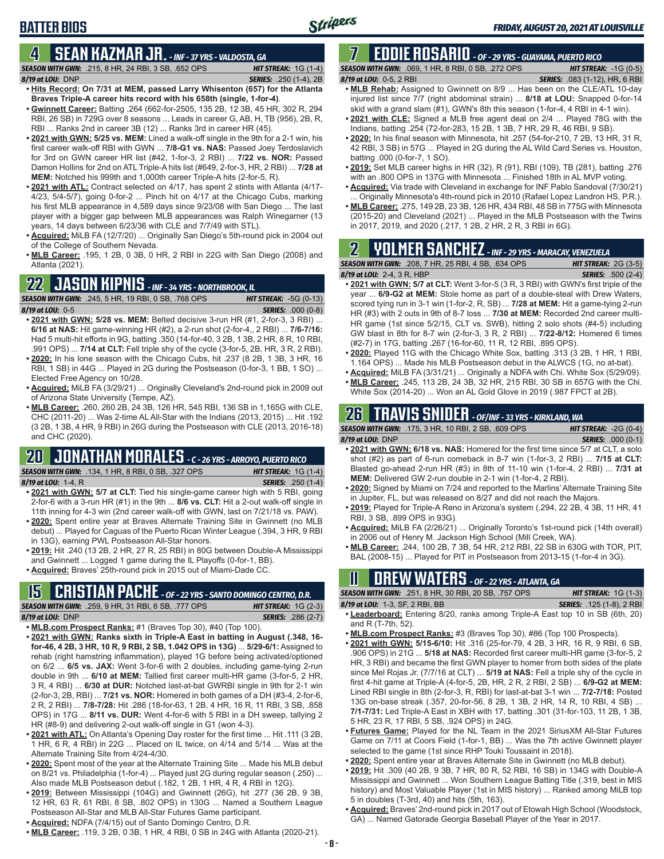# **4 SEAN KAZMAR JR.** *- INF - 37 YRS - VALDOSTA, GA*

*SEASON WITH GWN:*.215, 8 HR, 24 RBI, 3 SB, .652 OPS *HIT STREAK:* 1G (1-4) *8/19 at LOU:*DNP *SERIES:* .250 (1-4), 2B

**BATTER BIOS**

- **• Hits Record: On 7/31 at MEM, passed Larry Whisenton (657) for the Atlanta Braves Triple-A career hits record with his 658th (single, 1-for-4)**. **• Gwinnett Career:** Batting .264 (662-for-2505, 135 2B, 12 3B, 45 HR, 302 R, 294
- RBI, 26 SB) in 729G over 8 seasons ... Leads in career G, AB, H, TB (956), 2B, R, RBI ... Ranks 2nd in career 3B (12) ... Ranks 3rd in career HR (45).
- **• 2021 with GWN: 5/25 vs. MEM:** Lined a walk-off single in the 9th for a 2-1 win, his first career walk-off RBI with GWN ... **7/8-G1 vs. NAS:** Passed Joey Terdoslavich for 3rd on GWN career HR list (#42, 1-for-3, 2 RBI) ... **7/22 vs. NOR:** Passed Damon Hollins for 2nd on ATL Triple-A hits list (#649, 2-for-3, HR, 2 RBI) ... **7/28 at MEM:** Notched his 999th and 1,000th career Triple-A hits (2-for-5, R).
- **• 2021 with ATL:** Contract selected on 4/17, has spent 2 stints with Atlanta (4/17- 4/23, 5/4-5/7), going 0-for-2 ... Pinch hit on 4/17 at the Chicago Cubs, marking his first MLB appearance in 4,589 days since 9/23/08 with San Diego ... The last player with a bigger gap between MLB appearances was Ralph Winegarner (13 years, 14 days between 6/23/36 with CLE and 7/7/49 with STL).
- **• Acquired:** MiLB FA (12/7/20) ... Originally San Diego's 5th-round pick in 2004 out of the College of Southern Nevada.
- **• MLB Career:** .195, 1 2B, 0 3B, 0 HR, 2 RBI in 22G with San Diego (2008) and Atlanta (2021).

#### **22 JASON KIPNIS** *- INF - 34 YRS - NORTHBROOK, IL*

*SEASON WITH GWN:*.245, 5 HR, 19 RBI, 0 SB, .768 OPS *HIT STREAK:* -5G (0-13) *8/19 at LOU:*0-5 *SERIES:* .000 (0-8)

- **• 2021 with GWN: 5/28 vs. MEM:** Belted decisive 3-run HR (#1, 2-for-3, 3 RBI) ... **6/16 at NAS:** Hit game-winning HR (#2), a 2-run shot (2-for-4,, 2 RBI) ... **7/6-7/16:** Had 5 multi-hit efforts in 9G, batting .350 (14-for-40, 3 2B, 1 3B, 2 HR, 8 R, 10 RBI, .991 OPS) ... **7/14 at CLT:** Fell triple shy of the cycle (3-for-5, 2B, HR, 3 R, 2 RBI). **• 2020:** In his lone season with the Chicago Cubs, hit .237 (8 2B, 1 3B, 3 HR, 16
- RBI, 1 SB) in 44G ... Played in 2G during the Postseason (0-for-3, 1 BB, 1 SO) ... Elected Free Agency on 10/28.
- **• Acquired:** MiLB FA (3/29/21) ... Originally Cleveland's 2nd-round pick in 2009 out of Arizona State University (Tempe, AZ).
- **• MLB Career:** .260, 260 2B, 24 3B, 126 HR, 545 RBI, 136 SB in 1,165G with CLE, CHC (2011-20) ... Was 2-time AL All-Star with the Indians (2013, 2015) ... Hit .192 (3 2B, 1 3B, 4 HR, 9 RBI) in 26G during the Postseason with CLE (2013, 2016-18) and CHC (2020).

# **20 JONATHAN MORALES** *- C - 26 YRS - ARROYO, PUERTO RICO*

*SEASON WITH GWN:*.134, 1 HR, 8 RBI, 0 SB, .327 OPS *HIT STREAK:* 1G (1-4)

*8/19 at LOU:*1-4, R *SERIES:* .250 (1-4)

- **• 2021 with GWN: 5/7 at CLT:** Tied his single-game career high with 5 RBI, going 2-for-6 with a 3-run HR (#1) in the 9th ... **8/6 vs. CLT:** Hit a 2-out walk-off single in 11th inning for 4-3 win (2nd career walk-off with GWN, last on 7/21/18 vs. PAW).
- **• 2020:** Spent entire year at Braves Alternate Training Site in Gwinnett (no MLB debut) ... Played for Caguas of the Puerto Rican Winter League (.394, 3 HR, 9 RBI in 13G), earning PWL Postseason All-Star honors.
- **• 2019:** Hit .240 (13 2B, 2 HR, 27 R, 25 RBI) in 80G between Double-A Mississippi and Gwinnett ... Logged 1 game during the IL Playoffs (0-for-1, BB).
- **• Acquired:** Braves' 25th-round pick in 2015 out of Miami-Dade CC.

# **15 CRISTIAN PACHE** *- OF - 22 YRS - SANTO DOMINGO CENTRO, D.R.*

*SEASON WITH GWN:*.259, 9 HR, 31 RBI, 6 SB, .777 OPS *HIT STREAK:* 1G (2-3) *8/19 at LOU:* DNP *SERIES:* .286 (2-7)

- **• MLB.com Prospect Ranks:** #1 (Braves Top 30), #40 (Top 100). **• 2021 with GWN: Ranks sixth in Triple-A East in batting in August (.348, 16-**
- **for-46, 4 2B, 3 HR, 10 R, 9 RBI, 2 SB, 1.042 OPS in 13G)** ... **5/29-6/1:** Assigned to rehab (right hamstring inflammation), played 1G before being activated/optioned on 6/2 ... **6/5 vs. JAX:** Went 3-for-6 with 2 doubles, including game-tying 2-run double in 9th ... **6/10 at MEM:** Tallied first career multi-HR game (3-for-5, 2 HR, 3 R, 4 RBI) ... **6/30 at DUR:** Notched last-at-bat GWRBI single in 9th for 2-1 win (2-for-3, 2B, RBI) ... **7/21 vs. NOR:** Homered in both games of a DH (#3-4, 2-for-6, 2 R, 2 RBI) ... **7/8-7/28:** Hit .286 (18-for-63, 1 2B, 4 HR, 16 R, 11 RBI, 3 SB, .858 OPS) in 17G ... **8/11 vs. DUR:** Went 4-for-6 with 5 RBI in a DH sweep, tallying 2 HR (#8-9) and delivering 2-out walk-off single in G1 (won 4-3).
- **• 2021 with ATL:** On Atlanta's Opening Day roster for the first time ... Hit .111 (3 2B, 1 HR, 6 R, 4 RBI) in 22G ... Placed on IL twice, on 4/14 and 5/14 ... Was at the Alternate Training Site from 4/24-4/30.
- **• 2020:** Spent most of the year at the Alternate Training Site ... Made his MLB debut on 8/21 vs. Philadelphia (1-for-4) ... Played just 2G during regular season (.250) ... Also made MLB Postseason debut (.182, 1 2B, 1 HR, 4 R, 4 RBI in 12G).
- **• 2019:** Between Mississippi (104G) and Gwinnett (26G), hit .277 (36 2B, 9 3B, 12 HR, 63 R, 61 RBI, 8 SB, .802 OPS) in 130G ... Named a Southern League Postseason All-Star and MLB All-Star Futures Game participant.
- **• Acquired:** NDFA (7/4/15) out of Santo Domingo Centro, D.R.
- **• MLB Career:** .119, 3 2B, 0 3B, 1 HR, 4 RBI, 0 SB in 24G with Atlanta (2020-21).

#### **7 EDDIE ROSARIO** *- OF - 29 YRS - GUAYAMA, PUERTO RICO SEASON WITH GWN:*.069, 1 HR, 8 RBI, 0 SB, .272 OPS *HIT STREAK:* -1G (0-5)

*8/19 at LOU:* 0-5, 2 RBI *SERIES:* .083 (1-12), HR, 6 RBI

- **• MLB Rehab:** Assigned to Gwinnett on 8/9 ... Has been on the CLE/ATL 10-day injured list since 7/7 (right abdominal strain) ... **8/18 at LOU:** Snapped 0-for-14 skid with a grand slam (#1), GWN's 8th this season (1-for-4, 4 RBI in 4-1 win).
- **• 2021 with CLE:** Signed a MLB free agent deal on 2/4 ... Played 78G with the Indians, batting .254 (72-for-283, 15 2B, 1 3B, 7 HR, 29 R, 46 RBI, 9 SB).
- **• 2020:** In his final season with Minnesota, hit .257 (54-for-210, 7 2B, 13 HR, 31 R, 42 RBI, 3 SB) in 57G ... Played in 2G during the AL Wild Card Series vs. Houston, batting .000 (0-for-7, 1 SO).
- **• 2019:** Set MLB career highs in HR (32), R (91), RBI (109), TB (281), batting .276 with an .800 OPS in 137G with Minnesota ... Finished 18th in AL MVP voting.
- **• Acquired:** Via trade with Cleveland in exchange for INF Pablo Sandoval (7/30/21) Originally Minnesota's 4th-round pick in 2010 (Rafael Lopez Landron HS, P.R.).
- **• MLB Career:** .275, 149 2B, 23 3B, 126 HR, 434 RBI, 48 SB in 775G with Minnesota (2015-20) and Cleveland (2021) ... Played in the MLB Postseason with the Twins in 2017, 2019, and 2020 (.217, 1 2B, 2 HR, 2 R, 3 RBI in 6G).

# **2 YOLMER SANCHEZ** *- INF - 29 YRS - MARACAY, VENEZUELA*

#### *SEASON WITH GWN:*.208, 7 HR, 25 RBI, 4 SB, .634 OPS *HIT STREAK:* 2G (3-5) *8/19 at LOU:*2-4, 3 R, HBP *SERIES:* .500 (2-4) **• 2021 with GWN: 5/7 at CLT:** Went 3-for-5 (3 R, 3 RBI) with GWN's first triple of the

- year ... **6/9-G2 at MEM:** Stole home as part of a double-steal with Drew Waters, scored tying run in 3-1 win (1-for-2, R, SB) ... **7/28 at MEM:** Hit a game-tying 2-run HR (#3) with 2 outs in 9th of 8-7 loss ... **7/30 at MEM:** Recorded 2nd career multi-HR game (1st since 5/2/15, CLT vs. SWB), hitting 2 solo shots (#4-5) including GW blast in 8th for 8-7 win (2-for-3, 3 R, 2 RBI) ... **7/22-8/12:** Homered 6 times (#2-7) in 17G, batting .267 (16-for-60, 11 R, 12 RBI, .895 OPS).
- **• 2020:** Played 11G with the Chicago White Sox, batting .313 (3 2B, 1 HR, 1 RBI, 1.164 OPS) ... Made his MLB Postseason debut in the ALWCS (1G, no at-bat).
- **• Acquired:** MiLB FA (3/31/21) ... Originally a NDFA with Chi. White Sox (5/29/09).
- **• MLB Career:** .245, 113 2B, 24 3B, 32 HR, 215 RBI, 30 SB in 657G with the Chi. White Sox (2014-20) ... Won an AL Gold Glove in 2019 (.987 FPCT at 2B).

# **26 TRAVIS SNIDER** *- OF/INF - 33 YRS - KIRKLAND, WA*

| <b>SEASON WITH GWN: .175. 3 HR. 10 RBI. 2 SB. .609 OPS</b>                         | <b>HIT STREAK: <math>-2G(0-4)</math></b> |
|------------------------------------------------------------------------------------|------------------------------------------|
| $8/19$ at LOU: DNP                                                                 | <b>SERIES: .000 (0-1)</b>                |
| • 2021 with GWN: 6/18 vs. NAS: Homered for the first time since 5/7 at CLT, a solo |                                          |
| shot $(\#2)$ as part of 6-run comeback in 8-7 win (1-for-3, 2 RBI)  7/15 at CLT:   |                                          |

- Blasted go-ahead 2-run HR (#3) in 8th of 11-10 win (1-for-4, 2 RBI) ... **7/31 at MEM:** Delivered GW 2-run double in 2-1 win (1-for-4, 2 RBI).
- **• 2020:** Signed by Miami on 7/24 and reported to the Marlins' Alternate Training Site in Jupiter, FL, but was released on 8/27 and did not reach the Majors.
- **• 2019:** Played for Triple-A Reno in Arizona's system (.294, 22 2B, 4 3B, 11 HR, 41 RBI, 3 SB, .899 OPS in 93G).
- **• Acquired:** MiLB FA (2/26/21) ... Originally Toronto's 1st-round pick (14th overall) in 2006 out of Henry M. Jackson High School (Mill Creek, WA).
- **• MLB Career:** .244, 100 2B, 7 3B, 54 HR, 212 RBI, 22 SB in 630G with TOR, PIT, BAL (2008-15) ... Played for PIT in Postseason from 2013-15 (1-for-4 in 3G).

# **11 Drew WATERS** *- OF - 22 YRS - ATLANTA, GA*

*SEASON WITH GWN:*.251, 8 HR, 30 RBI, 20 SB, .757 OPS *HIT STREAK:* 1G (1-3) *8/19 at LOU:*1-3, SF, 2 RBI, BB *SERIES:* .125 (1-8), 2 RBI

- **• Leaderboard:** Entering 8/20, ranks among Triple-A East top 10 in SB (6th, 20) and R (T-7th, 52).
- **• MLB.com Prospect Ranks:** #3 (Braves Top 30), #86 (Top 100 Prospects).
- **• 2021 with GWN: 5/15-6/10:** Hit .316 (25-for-79, 4 2B, 3 HR, 16 R, 9 RBI, 6 SB, .906 OPS) in 21G ... **5/18 at NAS:** Recorded first career multi-HR game (3-for-5, 2 HR, 3 RBI) and became the first GWN player to homer from both sides of the plate since Mel Rojas Jr. (7/7/16 at CLT) ... **5/19 at NAS:** Fell a triple shy of the cycle in first 4-hit game at Triple-A (4-for-5, 2B, HR, 2 R, 2 RBI, 2 SB) ... **6/9-G2 at MEM:** Lined RBI single in 8th (2-for-3, R, RBI) for last-at-bat 3-1 win ... **7/2-7/18:** Posted 13G on-base streak (.357, 20-for-56, 8 2B, 1 3B, 2 HR, 14 R, 10 RBI, 4 SB) ... **7/1-7/31:** Led Triple-A East in XBH with 17, batting .301 (31-for-103, 11 2B, 1 3B, 5 HR, 23 R, 17 RBI, 5 SB, .924 OPS) in 24G.
- **• Futures Game:** Played for the NL Team in the 2021 SiriusXM All-Star Futures Game on 7/11 at Coors Field (1-for-1, BB) ... Was the 7th active Gwinnett player selected to the game (1st since RHP Touki Toussaint in 2018).
- **• 2020:** Spent entire year at Braves Alternate Site in Gwinnett (no MLB debut).
- **• 2019:** Hit .309 (40 2B, 9 3B, 7 HR, 80 R, 52 RBI, 16 SB) in 134G with Double-A Mississippi and Gwinnett ... Won Southern League Batting Title (.319, best in MIS history) and Most Valuable Player (1st in MIS history) ... Ranked among MiLB top 5 in doubles (T-3rd, 40) and hits (5th, 163).
- **• Acquired:** Braves' 2nd-round pick in 2017 out of Etowah High School (Woodstock, GA) ... Named Gatorade Georgia Baseball Player of the Year in 2017.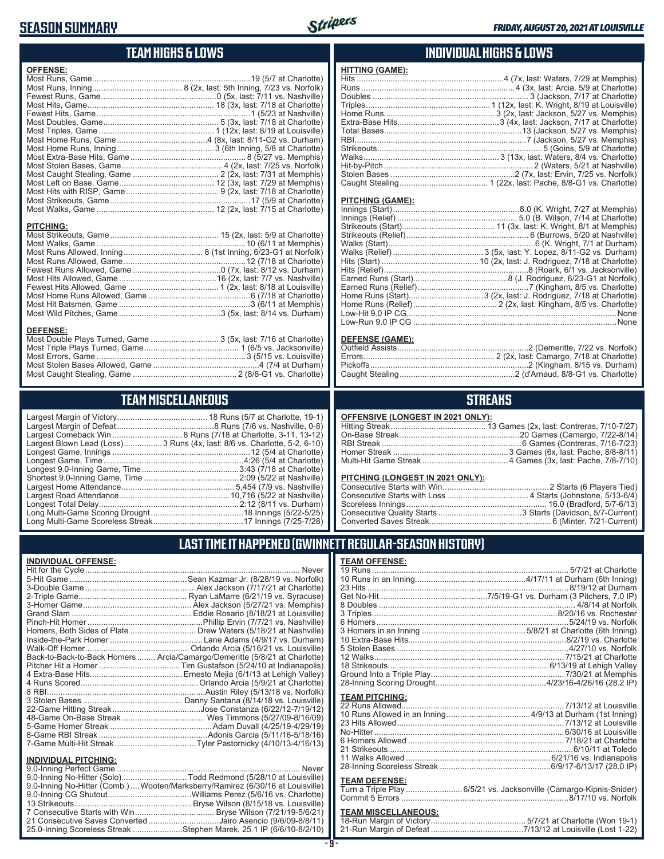### **SEASON SUMMARY**



### **TEAM HIGHS & LOWS**

| <b>OFFENSE:</b>  |  |
|------------------|--|
|                  |  |
|                  |  |
|                  |  |
|                  |  |
|                  |  |
|                  |  |
|                  |  |
|                  |  |
|                  |  |
|                  |  |
|                  |  |
|                  |  |
|                  |  |
|                  |  |
|                  |  |
|                  |  |
|                  |  |
| <b>PITCHING:</b> |  |
|                  |  |
|                  |  |
|                  |  |
|                  |  |
|                  |  |
|                  |  |
|                  |  |
|                  |  |
|                  |  |
|                  |  |
| <b>DEEEMOE.</b>  |  |

#### **DEFENSE:**

| Most Double Plays Turned, Game  3 (5x, last: 7/16 at Charlotte) |  |
|-----------------------------------------------------------------|--|
|                                                                 |  |
|                                                                 |  |
|                                                                 |  |
|                                                                 |  |
|                                                                 |  |

### **TEAM MISCELLANEOUS**

| Largest Blown Lead (Loss)3 Runs (4x, last: 8/6 vs. Charlotte, 5-2, 6-10) |
|--------------------------------------------------------------------------|
|                                                                          |
| Longest Game, Time……………………………………………………4:26 (5/4 at Charlotte)            |
| Longest 9.0-Inning Game, Time……………………………………3:43 (7/18 at Charlotte)      |
|                                                                          |
|                                                                          |
|                                                                          |
|                                                                          |
|                                                                          |
|                                                                          |
|                                                                          |

#### **INDIVIDUAL HIGHS & LOWS**

| <b>HITTING (GAME):</b> |                                                                   |
|------------------------|-------------------------------------------------------------------|
|                        | Hits ……………………………………………………………4 (7x, last: Waters, 7/29 at Memphis) |
|                        |                                                                   |
|                        |                                                                   |
|                        |                                                                   |
|                        |                                                                   |
|                        |                                                                   |
|                        |                                                                   |
|                        |                                                                   |
|                        |                                                                   |
|                        |                                                                   |
|                        |                                                                   |
|                        |                                                                   |
|                        |                                                                   |
|                        |                                                                   |

#### **PITCHING (GAME):**

| Low-Run 9.0 IP CG …………………………………………………………………………………None |
|-------------------------------------------------------|

#### **DEFENSE (GAME):**

#### **STREAKS**

#### **OFFENSIVE (LONGEST IN 2021 ONLY):**

#### **PITCHING (LONGEST IN 2021 ONLY):**

#### **LAST TIME IT HAPPENED (GWINNETT REGULAR-SEASON HISTORY)**

#### **INDIVIDUAL OFFENSE:**

|                             | Homers, Both Sides of Plate  Drew Waters (5/18/21 at Nashville)            |
|-----------------------------|----------------------------------------------------------------------------|
|                             |                                                                            |
|                             |                                                                            |
|                             | Back-to-Back-to-Back Homers  Arcia/Camargo/Demeritte (5/8/21 at Charlotte) |
|                             |                                                                            |
|                             |                                                                            |
|                             |                                                                            |
|                             |                                                                            |
|                             |                                                                            |
|                             |                                                                            |
|                             |                                                                            |
|                             |                                                                            |
|                             |                                                                            |
|                             |                                                                            |
| <b>INDIVIDUAL PITCHING:</b> |                                                                            |
|                             |                                                                            |

| 9.0-Inning No-Hitter (Solo)Todd Redmond (5/28/10 at Louisville)                |  |
|--------------------------------------------------------------------------------|--|
| 9.0-Inning No-Hitter (Comb.) Wooten/Marksberry/Ramirez (6/30/16 at Louisville) |  |
|                                                                                |  |
|                                                                                |  |
|                                                                                |  |
| 21 Consecutive Saves Converted Jairo Asencio (9/6/09-8/8/11)                   |  |
| 25.0-Inning Scoreless Streak Stephen Marek, 25.1 IP (6/6/10-8/2/10)            |  |
|                                                                                |  |

#### **TEAM OFFENSE:**

| <b>TEAM PITCHING:</b> |  |
|-----------------------|--|
|                       |  |
|                       |  |
|                       |  |
|                       |  |
|                       |  |
|                       |  |
|                       |  |
|                       |  |
|                       |  |
| <b>TEAM DEFENSE:</b>  |  |

#### Turn a Triple Play .........................6/5/21 vs. Jacksonville (Camargo-Kipnis-Snider) Commit 5 Errors ..........................................................................8/17/10 vs. Norfolk

| <b>TEAM MISCELLANEOUS:</b> |  |
|----------------------------|--|
|                            |  |
|                            |  |